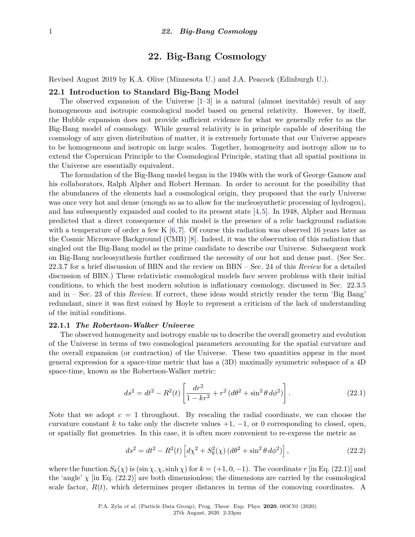# **22. Big-Bang Cosmology**

Revised August 2019 by K.A. Olive (Minnesota U.) and J.A. Peacock (Edinburgh U.).

# **22.1 Introduction to Standard Big-Bang Model**

The observed expansion of the Universe [\[1–](#page-25-0)[3\]](#page-25-1) is a natural (almost inevitable) result of any homogeneous and isotropic cosmological model based on general relativity. However, by itself, the Hubble expansion does not provide sufficient evidence for what we generally refer to as the Big-Bang model of cosmology. While general relativity is in principle capable of describing the cosmology of any given distribution of matter, it is extremely fortunate that our Universe appears to be homogeneous and isotropic on large scales. Together, homogeneity and isotropy allow us to extend the Copernican Principle to the Cosmological Principle, stating that all spatial positions in the Universe are essentially equivalent.

The formulation of the Big-Bang model began in the 1940s with the work of George Gamow and his collaborators, Ralph Alpher and Robert Herman. In order to account for the possibility that the abundances of the elements had a cosmological origin, they proposed that the early Universe was once very hot and dense (enough so as to allow for the nucleosynthetic processing of hydrogen), and has subsequently expanded and cooled to its present state [\[4,](#page-25-2) [5\]](#page-25-3). In 1948, Alpher and Herman predicted that a direct consequence of this model is the presence of a relic background radiation with a temperature of order a few K  $[6, 7]$  $[6, 7]$  $[6, 7]$ . Of course this radiation was observed 16 years later as the Cosmic Microwave Background (CMB) [\[8\]](#page-25-6). Indeed, it was the observation of this radiation that singled out the Big-Bang model as the prime candidate to describe our Universe. Subsequent work on Big-Bang nucleosynthesis further confirmed the necessity of our hot and dense past. (See Sec. [22.3.7](#page-14-0) for a brief discussion of BBN and the review on BBN – Sec. 24 of this *Review* for a detailed discussion of BBN.) These relativistic cosmological models face severe problems with their initial conditions, to which the best modern solution is inflationary cosmology, discussed in Sec. [22.3.5](#page-13-0) and in – Sec. 23 of this *Review*. If correct, these ideas would strictly render the term 'Big Bang' redundant, since it was first coined by Hoyle to represent a criticism of the lack of understanding of the initial conditions.

# **22.1.1** *The Robertson-Walker Universe*

The observed homogeneity and isotropy enable us to describe the overall geometry and evolution of the Universe in terms of two cosmological parameters accounting for the spatial curvature and the overall expansion (or contraction) of the Universe. These two quantities appear in the most general expression for a space-time metric that has a (3D) maximally symmetric subspace of a 4D space-time, known as the Robertson-Walker metric:

<span id="page-0-0"></span>
$$
ds^{2} = dt^{2} - R^{2}(t) \left[ \frac{dr^{2}}{1 - kr^{2}} + r^{2} (d\theta^{2} + \sin^{2} \theta d\phi^{2}) \right].
$$
 (22.1)

Note that we adopt  $c = 1$  throughout. By rescaling the radial coordinate, we can choose the curvature constant k to take only the discrete values  $+1$ ,  $-1$ , or 0 corresponding to closed, open, or spatially flat geometries. In this case, it is often more convenient to re-express the metric as

<span id="page-0-1"></span>
$$
ds^{2} = dt^{2} - R^{2}(t) \left[ d\chi^{2} + S_{k}^{2}(\chi) \left( d\theta^{2} + \sin^{2} \theta \, d\phi^{2} \right) \right],
$$
 (22.2)

where the function  $S_k(\chi)$  is  $(\sin \chi, \chi, \sinh \chi)$  for  $k = (+1, 0, -1)$ . The coordinate *r* [in Eq. [\(22.1\)](#page-0-0)] and the 'angle'  $\chi$  [in Eq. [\(22.2\)](#page-0-1)] are both dimensionless; the dimensions are carried by the cosmological scale factor,  $R(t)$ , which determines proper distances in terms of the comoving coordinates. A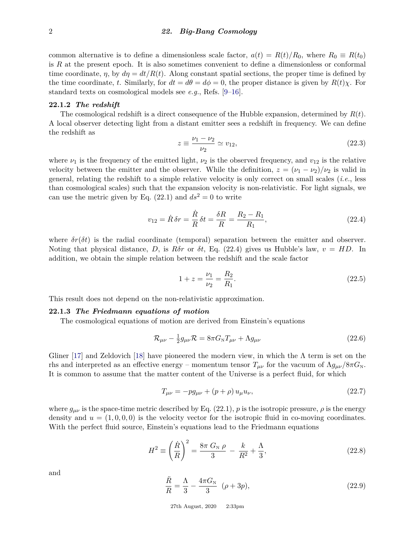common alternative is to define a dimensionless scale factor,  $a(t) = R(t)/R_0$ , where  $R_0 \equiv R(t_0)$ is *R* at the present epoch. It is also sometimes convenient to define a dimensionless or conformal time coordinate,  $\eta$ , by  $d\eta = dt/R(t)$ . Along constant spatial sections, the proper time is defined by the time coordinate, *t*. Similarly, for  $dt = d\theta = d\phi = 0$ , the proper distance is given by  $R(t)\chi$ . For standard texts on cosmological models see *e.g.*, Refs. [\[9–](#page-25-7)[16\]](#page-25-8).

#### **22.1.2** *The redshift*

The cosmological redshift is a direct consequence of the Hubble expansion, determined by *R*(*t*). A local observer detecting light from a distant emitter sees a redshift in frequency. We can define the redshift as

$$
z \equiv \frac{\nu_1 - \nu_2}{\nu_2} \simeq v_{12},\tag{22.3}
$$

where  $\nu_1$  is the frequency of the emitted light,  $\nu_2$  is the observed frequency, and  $v_{12}$  is the relative velocity between the emitter and the observer. While the definition,  $z = (\nu_1 - \nu_2)/\nu_2$  is valid in general, relating the redshift to a simple relative velocity is only correct on small scales (*i.e.*, less than cosmological scales) such that the expansion velocity is non-relativistic. For light signals, we can use the metric given by Eq.  $(22.1)$  and  $ds<sup>2</sup> = 0$  to write

<span id="page-1-0"></span>
$$
v_{12} = \dot{R}\,\delta r = \frac{\dot{R}}{R}\,\delta t = \frac{\delta R}{R} = \frac{R_2 - R_1}{R_1},\tag{22.4}
$$

where  $\delta r(\delta t)$  is the radial coordinate (temporal) separation between the emitter and observer. Noting that physical distance, *D*, is  $R\delta r$  or  $\delta t$ , Eq. [\(22.4\)](#page-1-0) gives us Hubble's law,  $v = HD$ . In addition, we obtain the simple relation between the redshift and the scale factor

$$
1 + z = \frac{\nu_1}{\nu_2} = \frac{R_2}{R_1}.\tag{22.5}
$$

This result does not depend on the non-relativistic approximation.

#### **22.1.3** *The Friedmann equations of motion*

The cosmological equations of motion are derived from Einstein's equations

$$
\mathcal{R}_{\mu\nu} - \frac{1}{2}g_{\mu\nu}\mathcal{R} = 8\pi G_{\rm N}T_{\mu\nu} + \Lambda g_{\mu\nu} \tag{22.6}
$$

Gliner [\[17\]](#page-25-9) and Zeldovich [\[18\]](#page-25-10) have pioneered the modern view, in which the  $\Lambda$  term is set on the rhs and interpreted as an effective energy – momentum tensor  $T_{\mu\nu}$  for the vacuum of  $\Lambda g_{\mu\nu}/8\pi G_N$ . It is common to assume that the matter content of the Universe is a perfect fluid, for which

$$
T_{\mu\nu} = -pg_{\mu\nu} + (p+\rho)u_{\mu}u_{\nu},\tag{22.7}
$$

where  $g_{\mu\nu}$  is the space-time metric described by Eq. [\(22.1\)](#page-0-0), p is the isotropic pressure,  $\rho$  is the energy density and  $u = (1,0,0,0)$  is the velocity vector for the isotropic fluid in co-moving coordinates. With the perfect fluid source, Einstein's equations lead to the Friedmann equations

<span id="page-1-1"></span>
$$
H^{2} \equiv \left(\frac{\dot{R}}{R}\right)^{2} = \frac{8\pi G_{N}\,\rho}{3} - \frac{k}{R^{2}} + \frac{\Lambda}{3},\tag{22.8}
$$

and

<span id="page-1-2"></span>
$$
\frac{\ddot{R}}{R} = \frac{\Lambda}{3} - \frac{4\pi G_{\rm N}}{3} \quad (\rho + 3p),\tag{22.9}
$$

27th August, 2020 2:33pm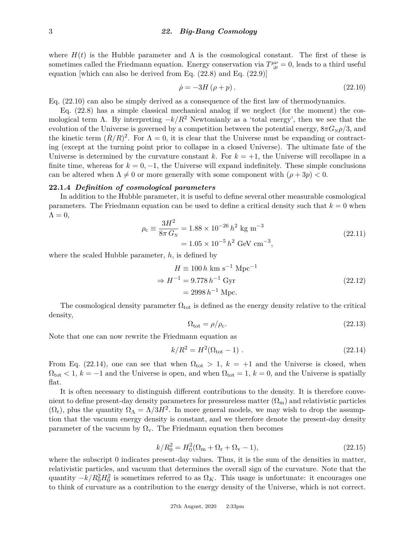where  $H(t)$  is the Hubble parameter and  $\Lambda$  is the cosmological constant. The first of these is sometimes called the Friedmann equation. Energy conservation via  $T^{\mu\nu}_{;\mu} = 0$ , leads to a third useful equation [which can also be derived from Eq. [\(22.8\)](#page-1-1) and Eq. [\(22.9\)](#page-1-2)]

<span id="page-2-0"></span>
$$
\dot{\rho} = -3H\left(\rho + p\right). \tag{22.10}
$$

Eq. [\(22.10\)](#page-2-0) can also be simply derived as a consequence of the first law of thermodynamics.

Eq. [\(22.8\)](#page-1-1) has a simple classical mechanical analog if we neglect (for the moment) the cosmological term  $\Lambda$ . By interpreting  $-k/R^2$  Newtonianly as a 'total energy', then we see that the evolution of the Universe is governed by a competition between the potential energy,  $8\pi G_{N}\rho/3$ , and the kinetic term  $(R/R)^2$ . For  $\Lambda = 0$ , it is clear that the Universe must be expanding or contracting (except at the turning point prior to collapse in a closed Universe). The ultimate fate of the Universe is determined by the curvature constant  $k$ . For  $k = +1$ , the Universe will recollapse in a finite time, whereas for  $k = 0, -1$ , the Universe will expand indefinitely. These simple conclusions can be altered when  $\Lambda \neq 0$  or more generally with some component with  $(\rho + 3p) < 0$ .

# **22.1.4** *Definition of cosmological parameters*

In addition to the Hubble parameter, it is useful to define several other measurable cosmological parameters. The Friedmann equation can be used to define a critical density such that  $k = 0$  when  $\Lambda = 0$ ,

$$
\rho_c \equiv \frac{3H^2}{8\pi G_N} = 1.88 \times 10^{-26} h^2 \text{ kg m}^{-3}
$$
  
= 1.05 × 10<sup>-5</sup> h<sup>2</sup> GeV cm<sup>-3</sup>, (22.11)

where the scaled Hubble parameter, *h*, is defined by

$$
H \equiv 100 h \text{ km s}^{-1} \text{ Mpc}^{-1}
$$
  
\n
$$
\Rightarrow H^{-1} = 9.778 h^{-1} \text{ Gyr}
$$
  
\n
$$
= 2998 h^{-1} \text{ Mpc.}
$$
\n(22.12)

The cosmological density parameter  $\Omega_{\text{tot}}$  is defined as the energy density relative to the critical density,

$$
\Omega_{\text{tot}} = \rho / \rho_{\text{c}}.\tag{22.13}
$$

Note that one can now rewrite the Friedmann equation as

<span id="page-2-1"></span>
$$
k/R^2 = H^2(\Omega_{\text{tot}} - 1) \tag{22.14}
$$

From Eq. [\(22.14\)](#page-2-1), one can see that when  $\Omega_{\text{tot}} > 1$ ,  $k = +1$  and the Universe is closed, when  $\Omega_{\text{tot}}$  < 1,  $k = -1$  and the Universe is open, and when  $\Omega_{\text{tot}} = 1$ ,  $k = 0$ , and the Universe is spatially flat.

It is often necessary to distinguish different contributions to the density. It is therefore convenient to define present-day density parameters for pressureless matter  $(\Omega_m)$  and relativistic particles  $(\Omega_r)$ , plus the quantity  $\Omega_{\Lambda} = \Lambda/3H^2$ . In more general models, we may wish to drop the assumption that the vacuum energy density is constant, and we therefore denote the present-day density parameter of the vacuum by  $\Omega_{v}$ . The Friedmann equation then becomes

$$
k/R_0^2 = H_0^2(\Omega_{\rm m} + \Omega_{\rm r} + \Omega_{\rm v} - 1),\tag{22.15}
$$

where the subscript 0 indicates present-day values. Thus, it is the sum of the densities in matter, relativistic particles, and vacuum that determines the overall sign of the curvature. Note that the quantity  $-k/R_0^2H_0^2$  is sometimes referred to as  $\Omega_K$ . This usage is unfortunate: it encourages one to think of curvature as a contribution to the energy density of the Universe, which is not correct.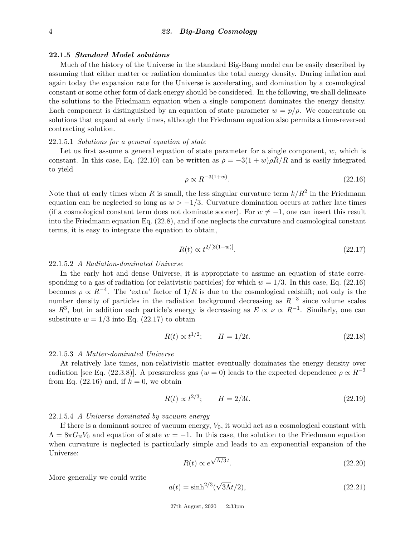#### **22.1.5** *Standard Model solutions*

Much of the history of the Universe in the standard Big-Bang model can be easily described by assuming that either matter or radiation dominates the total energy density. During inflation and again today the expansion rate for the Universe is accelerating, and domination by a cosmological constant or some other form of dark energy should be considered. In the following, we shall delineate the solutions to the Friedmann equation when a single component dominates the energy density. Each component is distinguished by an equation of state parameter  $w = p/\rho$ . We concentrate on solutions that expand at early times, although the Friedmann equation also permits a time-reversed contracting solution.

# 22.1.5.1 *Solutions for a general equation of state*

Let us first assume a general equation of state parameter for a single component, *w*, which is constant. In this case, Eq. [\(22.10\)](#page-2-0) can be written as  $\dot{\rho} = -3(1+w)\rho R/R$  and is easily integrated to yield

<span id="page-3-0"></span>
$$
\rho \propto R^{-3(1+w)}.\tag{22.16}
$$

Note that at early times when *R* is small, the less singular curvature term  $k/R^2$  in the Friedmann equation can be neglected so long as  $w > -1/3$ . Curvature domination occurs at rather late times (if a cosmological constant term does not dominate sooner). For  $w \neq -1$ , one can insert this result into the Friedmann equation Eq. [\(22.8\)](#page-1-1), and if one neglects the curvature and cosmological constant terms, it is easy to integrate the equation to obtain,

<span id="page-3-1"></span>
$$
R(t) \propto t^{2/[3(1+w)]}.\tag{22.17}
$$

# 22.1.5.2 *A Radiation-dominated Universe*

In the early hot and dense Universe, it is appropriate to assume an equation of state corresponding to a gas of radiation (or relativistic particles) for which  $w = 1/3$ . In this case, Eq. [\(22.16\)](#page-3-0) becomes  $\rho \propto R^{-4}$ . The 'extra' factor of  $1/R$  is due to the cosmological redshift; not only is the number density of particles in the radiation background decreasing as *R*−<sup>3</sup> since volume scales as  $R^3$ , but in addition each particle's energy is decreasing as  $E \propto \nu \propto R^{-1}$ . Similarly, one can substitute  $w = 1/3$  into Eq. [\(22.17\)](#page-3-1) to obtain

$$
R(t) \propto t^{1/2}; \qquad H = 1/2t. \tag{22.18}
$$

#### 22.1.5.3 *A Matter-dominated Universe*

At relatively late times, non-relativistic matter eventually dominates the energy density over radiation [see Eq. [\(22.3.8\)](#page-15-0)]. A pressureless gas ( $w = 0$ ) leads to the expected dependence  $\rho \propto R^{-3}$ from Eq.  $(22.16)$  and, if  $k = 0$ , we obtain

$$
R(t) \propto t^{2/3}; \qquad H = 2/3t. \tag{22.19}
$$

#### 22.1.5.4 *A Universe dominated by vacuum energy*

If there is a dominant source of vacuum energy, *V*0, it would act as a cosmological constant with  $\Lambda = 8\pi G_{\rm N}V_0$  and equation of state  $w = -1$ . In this case, the solution to the Friedmann equation when curvature is neglected is particularly simple and leads to an exponential expansion of the Universe: √

<span id="page-3-2"></span>
$$
R(t) \propto e^{\sqrt{\Lambda/3} \, t}.\tag{22.20}
$$

More generally we could write

$$
a(t) = \sinh^{2/3}(\sqrt{3\Lambda}t/2),\tag{22.21}
$$

27th August, 2020 2:33pm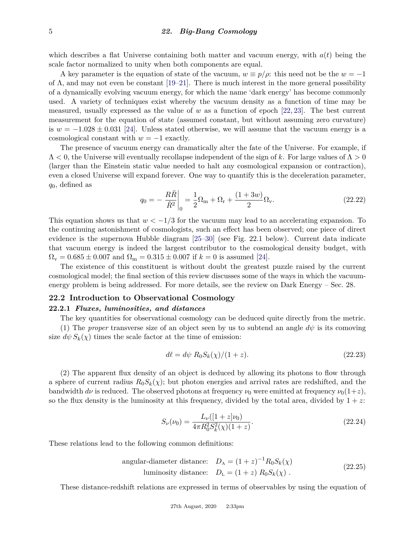which describes a flat Universe containing both matter and vacuum energy, with  $a(t)$  being the scale factor normalized to unity when both components are equal.

A key parameter is the equation of state of the vacuum,  $w \equiv p/\rho$ : this need not be the  $w = -1$ of  $\Lambda$ , and may not even be constant [\[19](#page-25-11)[–21\]](#page-26-0). There is much interest in the more general possibility of a dynamically evolving vacuum energy, for which the name 'dark energy' has become commonly used. A variety of techniques exist whereby the vacuum density as a function of time may be measured, usually expressed as the value of *w* as a function of epoch [\[22,](#page-26-1) [23\]](#page-26-2). The best current measurement for the equation of state (assumed constant, but without assuming zero curvature) is  $w = -1.028 \pm 0.031$  [\[24\]](#page-26-3). Unless stated otherwise, we will assume that the vacuum energy is a cosmological constant with  $w = -1$  exactly.

The presence of vacuum energy can dramatically alter the fate of the Universe. For example, if Λ *<* 0, the Universe will eventually recollapse independent of the sign of *k*. For large values of Λ *>* 0 (larger than the Einstein static value needed to halt any cosmological expansion or contraction), even a closed Universe will expand forever. One way to quantify this is the deceleration parameter, *q*0, defined as

$$
q_0 = -\frac{R\ddot{R}}{\dot{R}^2}\bigg|_0 = \frac{1}{2}\Omega_{\rm m} + \Omega_{\rm r} + \frac{(1+3w)}{2}\Omega_{\rm v}.\tag{22.22}
$$

This equation shows us that  $w < -1/3$  for the vacuum may lead to an accelerating expansion. To the continuing astonishment of cosmologists, such an effect has been observed; one piece of direct evidence is the supernova Hubble diagram [\[25–](#page-26-4)[30\]](#page-26-5) (see Fig. [22.1](#page-5-0) below). Current data indicate that vacuum energy is indeed the largest contributor to the cosmological density budget, with  $\Omega_{\rm v}=0.685\pm0.007$  and  $\Omega_{\rm m}=0.315\pm0.007$  if  $k=0$  is assumed [\[24\]](#page-26-3).

The existence of this constituent is without doubt the greatest puzzle raised by the current cosmological model; the final section of this review discusses some of the ways in which the vacuumenergy problem is being addressed. For more details, see the review on Dark Energy – Sec. 28.

# **22.2 Introduction to Observational Cosmology**

#### **22.2.1** *Fluxes, luminosities, and distances*

The key quantities for observational cosmology can be deduced quite directly from the metric.

(1) The *proper* transverse size of an object seen by us to subtend an angle  $d\psi$  is its comoving size  $d\psi S_k(\chi)$  times the scale factor at the time of emission:

$$
d\ell = d\psi R_0 S_k(\chi)/(1+z). \tag{22.23}
$$

(2) The apparent flux density of an object is deduced by allowing its photons to flow through a sphere of current radius  $R_0S_k(\chi)$ ; but photon energies and arrival rates are redshifted, and the bandwidth  $d\nu$  is reduced. The observed photons at frequency  $\nu_0$  were emitted at frequency  $\nu_0(1+z)$ , so the flux density is the luminosity at this frequency, divided by the total area, divided by  $1 + z$ .

$$
S_{\nu}(\nu_0) = \frac{L_{\nu}([1+z]\nu_0)}{4\pi R_0^2 S_k^2(\chi)(1+z)}.
$$
\n(22.24)

These relations lead to the following common definitions:

angular-diameter distance: 
$$
D_A = (1+z)^{-1} R_0 S_k(\chi)
$$
  
luminosity distance:  $D_L = (1+z) R_0 S_k(\chi)$ . (22.25)

These distance-redshift relations are expressed in terms of observables by using the equation of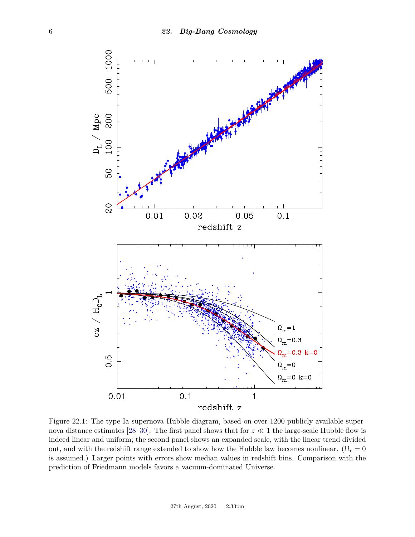<span id="page-5-0"></span>

Figure 22.1: The type Ia supernova Hubble diagram, based on over 1200 publicly available super-nova distance estimates [\[28–](#page-26-6)[30\]](#page-26-5). The first panel shows that for  $z \ll 1$  the large-scale Hubble flow is indeed linear and uniform; the second panel shows an expanded scale, with the linear trend divided out, and with the redshift range extended to show how the Hubble law becomes nonlinear. ( $\Omega_r = 0$ is assumed.) Larger points with errors show median values in redshift bins. Comparison with the prediction of Friedmann models favors a vacuum-dominated Universe.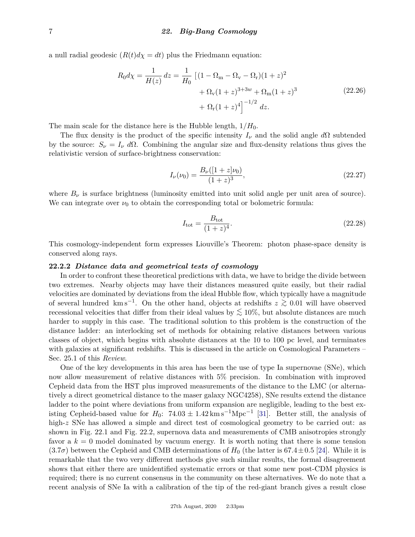a null radial geodesic  $(R(t)d\chi = dt)$  plus the Friedmann equation:

$$
R_0 d\chi = \frac{1}{H(z)} dz = \frac{1}{H_0} \left[ (1 - \Omega_m - \Omega_v - \Omega_r)(1 + z)^2 + \Omega_v (1 + z)^{3 + 3w} + \Omega_m (1 + z)^3 + \Omega_r (1 + z)^4 \right]^{-1/2} dz.
$$
 (22.26)

The main scale for the distance here is the Hubble length, 1*/H*0.

The flux density is the product of the specific intensity  $I_{\nu}$  and the solid angle  $d\Omega$  subtended by the source:  $S_{\nu} = I_{\nu} d\Omega$ . Combining the angular size and flux-density relations thus gives the relativistic version of surface-brightness conservation:

$$
I_{\nu}(\nu_0) = \frac{B_{\nu}([1+z]\nu_0)}{(1+z)^3},\tag{22.27}
$$

where  $B_{\nu}$  is surface brightness (luminosity emitted into unit solid angle per unit area of source). We can integrate over  $\nu_0$  to obtain the corresponding total or bolometric formula:

$$
I_{\text{tot}} = \frac{B_{\text{tot}}}{(1+z)^4}.
$$
\n(22.28)

This cosmology-independent form expresses Liouville's Theorem: photon phase-space density is conserved along rays.

#### **22.2.2** *Distance data and geometrical tests of cosmology*

In order to confront these theoretical predictions with data, we have to bridge the divide between two extremes. Nearby objects may have their distances measured quite easily, but their radial velocities are dominated by deviations from the ideal Hubble flow, which typically have a magnitude of several hundred km s−<sup>1</sup> . On the other hand, objects at redshifts *<sup>z</sup> <sup>&</sup>gt;*<sup>∼</sup> <sup>0</sup>*.*<sup>01</sup> will have observed recessional velocities that differ from their ideal values by *<sup>&</sup>lt;*<sup>∼</sup> 10%, but absolute distances are much harder to supply in this case. The traditional solution to this problem is the construction of the distance ladder: an interlocking set of methods for obtaining relative distances between various classes of object, which begins with absolute distances at the 10 to 100 pc level, and terminates with galaxies at significant redshifts. This is discussed in the article on Cosmological Parameters – Sec. 25.1 of this *Review*.

One of the key developments in this area has been the use of type Ia supernovae (SNe), which now allow measurement of relative distances with 5% precision. In combination with improved Cepheid data from the HST plus improved measurements of the distance to the LMC (or alternatively a direct geometrical distance to the maser galaxy NGC4258), SNe results extend the distance ladder to the point where deviations from uniform expansion are negligible, leading to the best existing Cepheid-based value for  $H_0$ :  $74.03 \pm 1.42 \,\mathrm{km \, s^{-1} Mpc^{-1}}$  [\[31\]](#page-26-7). Better still, the analysis of high-z SNe has allowed a simple and direct test of cosmological geometry to be carried out: as shown in Fig. [22.1](#page-5-0) and Fig. [22.2,](#page-7-0) supernova data and measurements of CMB anisotropies strongly favor a  $k = 0$  model dominated by vacuum energy. It is worth noting that there is some tension  $(3.7\sigma)$  between the Cepheid and CMB determinations of  $H_0$  (the latter is 67.4 $\pm$ 0.5 [\[24\]](#page-26-3). While it is remarkable that the two very different methods give such similar results, the formal disagreement shows that either there are unidentified systematic errors or that some new post-CDM physics is required; there is no current consensus in the community on these alternatives. We do note that a recent analysis of SNe Ia with a calibration of the tip of the red-giant branch gives a result close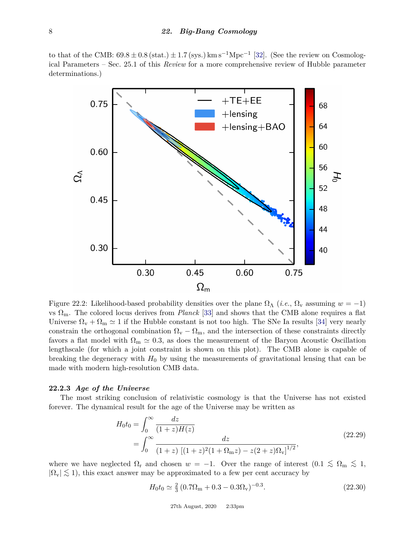to that of the CMB:  $69.8 \pm 0.8$  (stat.)  $\pm 1.7$  (sys.) km s<sup>-1</sup>Mpc<sup>-1</sup> [\[32\]](#page-26-8). (See the review on Cosmological Parameters – Sec. 25.1 of this *Review* for a more comprehensive review of Hubble parameter determinations.)

<span id="page-7-0"></span>

Figure 22.2: Likelihood-based probability densities over the plane  $\Omega_{\Lambda}$  (*i.e.*,  $\Omega_{\rm v}$  assuming  $w = -1$ ) vs  $\Omega_{\rm m}$ . The colored locus derives from *Planck* [\[33\]](#page-26-9) and shows that the CMB alone requires a flat Universe  $\Omega_{\rm v} + \Omega_{\rm m} \simeq 1$  if the Hubble constant is not too high. The SNe Ia results [\[34\]](#page-26-10) very nearly constrain the orthogonal combination  $\Omega_{\rm v} - \Omega_{\rm m}$ , and the intersection of these constraints directly favors a flat model with  $\Omega_{\rm m} \simeq 0.3$ , as does the measurement of the Baryon Acoustic Oscillation lengthscale (for which a joint constraint is shown on this plot). The CMB alone is capable of breaking the degeneracy with  $H_0$  by using the measurements of gravitational lensing that can be made with modern high-resolution CMB data.

# **22.2.3** *Age of the Universe*

The most striking conclusion of relativistic cosmology is that the Universe has not existed forever. The dynamical result for the age of the Universe may be written as

<span id="page-7-1"></span>
$$
H_0 t_0 = \int_0^\infty \frac{dz}{(1+z)H(z)}
$$
  
= 
$$
\int_0^\infty \frac{dz}{(1+z) [(1+z)^2 (1+\Omega_{\rm m}z) - z(2+z)\Omega_{\rm v}]^{1/2}},
$$
 (22.29)

where we have neglected  $\Omega_r$  and chosen  $w = -1$ . Over the range of interest  $(0.1 \leq \Omega_m \leq 1,$  $|\Omega_{\rm v}| \lesssim 1$ ), this exact answer may be approximated to a few per cent accuracy by

$$
H_0 t_0 \simeq \frac{2}{3} \left( 0.7 \Omega_{\rm m} + 0.3 - 0.3 \Omega_{\rm v} \right)^{-0.3}.
$$
\n(22.30)

27th August, 2020 2:33pm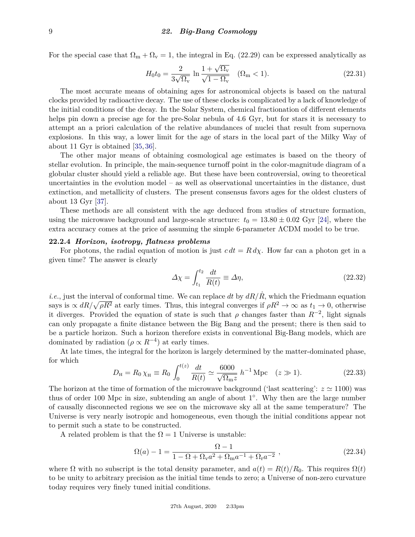For the special case that  $\Omega_m + \Omega_v = 1$ , the integral in Eq. [\(22.29\)](#page-7-1) can be expressed analytically as

$$
H_0 t_0 = \frac{2}{3\sqrt{\Omega_v}} \ln \frac{1 + \sqrt{\Omega_v}}{\sqrt{1 - \Omega_v}} \quad (\Omega_m < 1). \tag{22.31}
$$

The most accurate means of obtaining ages for astronomical objects is based on the natural clocks provided by radioactive decay. The use of these clocks is complicated by a lack of knowledge of the initial conditions of the decay. In the Solar System, chemical fractionation of different elements helps pin down a precise age for the pre-Solar nebula of 4.6 Gyr, but for stars it is necessary to attempt an a priori calculation of the relative abundances of nuclei that result from supernova explosions. In this way, a lower limit for the age of stars in the local part of the Milky Way of about 11 Gyr is obtained [\[35,](#page-26-11) [36\]](#page-26-12).

The other major means of obtaining cosmological age estimates is based on the theory of stellar evolution. In principle, the main-sequence turnoff point in the color-magnitude diagram of a globular cluster should yield a reliable age. But these have been controversial, owing to theoretical uncertainties in the evolution model – as well as observational uncertainties in the distance, dust extinction, and metallicity of clusters. The present consensus favors ages for the oldest clusters of about 13 Gyr [\[37\]](#page-26-13).

These methods are all consistent with the age deduced from studies of structure formation, using the microwave background and large-scale structure:  $t_0 = 13.80 \pm 0.02$  Gyr [\[24\]](#page-26-3), where the extra accuracy comes at the price of assuming the simple 6-parameter ΛCDM model to be true.

# <span id="page-8-0"></span>**22.2.4** *Horizon, isotropy, flatness problems*

For photons, the radial equation of motion is just  $c \, dt = R \, d\chi$ . How far can a photon get in a given time? The answer is clearly

$$
\Delta \chi = \int_{t_1}^{t_2} \frac{dt}{R(t)} \equiv \Delta \eta,\tag{22.32}
$$

*i.e.*, just the interval of conformal time. We can replace dt by  $dR/\dot{R}$ , which the Friedmann equation says is  $\propto dR/\sqrt{\rho R^2}$  at early times. Thus, this integral converges if  $\rho R^2 \to \infty$  as  $t_1 \to 0$ , otherwise it diverges. Provided the equation of state is such that  $\rho$  changes faster than  $R^{-2}$ , light signals can only propagate a finite distance between the Big Bang and the present; there is then said to be a particle horizon. Such a horizon therefore exists in conventional Big-Bang models, which are dominated by radiation ( $\rho \propto R^{-4}$ ) at early times.

At late times, the integral for the horizon is largely determined by the matter-dominated phase, for which

$$
D_{\rm H} = R_0 \chi_{\rm H} \equiv R_0 \int_0^{t(z)} \frac{dt}{R(t)} \simeq \frac{6000}{\sqrt{\Omega_{\rm m} z}} \, h^{-1} \, \text{Mpc} \quad (z \gg 1). \tag{22.33}
$$

The horizon at the time of formation of the microwave background ('last scattering':  $z \approx 1100$ ) was thus of order 100 Mpc in size, subtending an angle of about 1<sup>o</sup>. Why then are the large number of causally disconnected regions we see on the microwave sky all at the same temperature? The Universe is very nearly isotropic and homogeneous, even though the initial conditions appear not to permit such a state to be constructed.

A related problem is that the  $\Omega = 1$  Universe is unstable:

$$
\Omega(a) - 1 = \frac{\Omega - 1}{1 - \Omega + \Omega_{\mathbf{v}} a^2 + \Omega_{\mathbf{m}} a^{-1} + \Omega_{\mathbf{r}} a^{-2}} ,
$$
\n(22.34)

where  $\Omega$  with no subscript is the total density parameter, and  $a(t) = R(t)/R_0$ . This requires  $\Omega(t)$ to be unity to arbitrary precision as the initial time tends to zero; a Universe of non-zero curvature today requires very finely tuned initial conditions.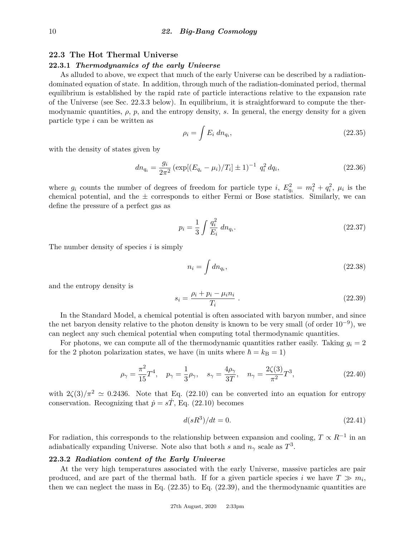# **22.3 The Hot Thermal Universe**

# **22.3.1** *Thermodynamics of the early Universe*

As alluded to above, we expect that much of the early Universe can be described by a radiationdominated equation of state. In addition, through much of the radiation-dominated period, thermal equilibrium is established by the rapid rate of particle interactions relative to the expansion rate of the Universe (see Sec. [22.3.3](#page-11-0) below). In equilibrium, it is straightforward to compute the thermodynamic quantities,  $\rho$ ,  $p$ , and the entropy density,  $s$ . In general, the energy density for a given particle type *i* can be written as

<span id="page-9-0"></span>
$$
\rho_i = \int E_i \, dn_{q_i},\tag{22.35}
$$

with the density of states given by

$$
dn_{q_i} = \frac{g_i}{2\pi^2} \left( \exp[(E_{q_i} - \mu_i)/T_i] \pm 1 \right)^{-1} q_i^2 dq_i,
$$
\n(22.36)

where  $g_i$  counts the number of degrees of freedom for particle type *i*,  $E_{q_i}^2 = m_i^2 + q_i^2$ ,  $\mu_i$  is the chemical potential, and the  $\pm$  corresponds to either Fermi or Bose statistics. Similarly, we can define the pressure of a perfect gas as

$$
p_i = \frac{1}{3} \int \frac{q_i^2}{E_i} \, dn_{q_i}.\tag{22.37}
$$

The number density of species *i* is simply

$$
n_i = \int dn_{q_i},\tag{22.38}
$$

and the entropy density is

<span id="page-9-1"></span>
$$
s_i = \frac{\rho_i + p_i - \mu_i n_i}{T_i} \tag{22.39}
$$

In the Standard Model, a chemical potential is often associated with baryon number, and since the net baryon density relative to the photon density is known to be very small (of order  $10^{-9}$ ), we can neglect any such chemical potential when computing total thermodynamic quantities.

For photons, we can compute all of the thermodynamic quantities rather easily. Taking  $g_i = 2$ for the 2 photon polarization states, we have (in units where  $\hbar = k_B = 1$ )

<span id="page-9-2"></span>
$$
\rho_{\gamma} = \frac{\pi^2}{15} T^4
$$
,  $p_{\gamma} = \frac{1}{3} \rho_{\gamma}$ ,  $s_{\gamma} = \frac{4\rho_{\gamma}}{3T}$ ,  $n_{\gamma} = \frac{2\zeta(3)}{\pi^2} T^3$ , (22.40)

with  $2\zeta(3)/\pi^2 \simeq 0.2436$ . Note that Eq. [\(22.10\)](#page-2-0) can be converted into an equation for entropy conservation. Recognizing that  $\dot{p} = s\dot{T}$ , Eq. [\(22.10\)](#page-2-0) becomes

$$
d(sR^3)/dt = 0.\t(22.41)
$$

For radiation, this corresponds to the relationship between expansion and cooling,  $T \propto R^{-1}$  in an adiabatically expanding Universe. Note also that both *s* and  $n<sub>\gamma</sub>$  scale as  $T<sup>3</sup>$ .

# **22.3.2** *Radiation content of the Early Universe*

At the very high temperatures associated with the early Universe, massive particles are pair produced, and are part of the thermal bath. If for a given particle species *i* we have  $T \gg m_i$ , then we can neglect the mass in Eq. [\(22.35\)](#page-9-0) to Eq. [\(22.39\)](#page-9-1), and the thermodynamic quantities are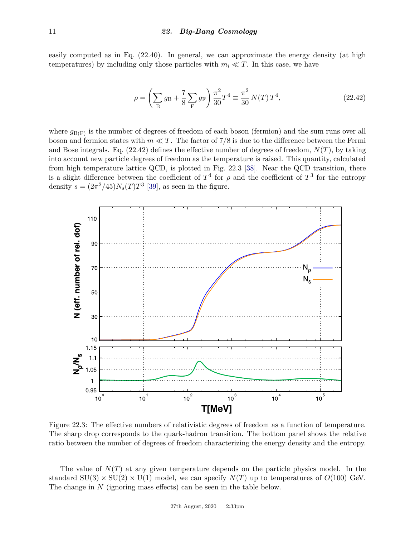easily computed as in Eq. [\(22.40\)](#page-9-2). In general, we can approximate the energy density (at high temperatures) by including only those particles with  $m_i \ll T$ . In this case, we have

<span id="page-10-0"></span>
$$
\rho = \left(\sum_{B} g_B + \frac{7}{8} \sum_{F} g_F\right) \frac{\pi^2}{30} T^4 \equiv \frac{\pi^2}{30} N(T) T^4, \qquad (22.42)
$$

where  $g_{\text{B}(F)}$  is the number of degrees of freedom of each boson (fermion) and the sum runs over all boson and fermion states with  $m \ll T$ . The factor of 7/8 is due to the difference between the Fermi and Bose integrals. Eq. [\(22.42\)](#page-10-0) defines the effective number of degrees of freedom, *N*(*T*), by taking into account new particle degrees of freedom as the temperature is raised. This quantity, calculated from high temperature lattice QCD, is plotted in Fig. [22.3](#page-10-1) [\[38\]](#page-26-14). Near the QCD transition, there is a slight difference between the coefficient of  $T^4$  for  $\rho$  and the coefficient of  $T^3$  for the entropy density  $s = (2\pi^2/45)N_s(T)T^3$  [\[39\]](#page-26-15), as seen in the figure.

<span id="page-10-1"></span>

Figure 22.3: The effective numbers of relativistic degrees of freedom as a function of temperature. The sharp drop corresponds to the quark-hadron transition. The bottom panel shows the relative ratio between the number of degrees of freedom characterizing the energy density and the entropy.

The value of  $N(T)$  at any given temperature depends on the particle physics model. In the standard  $SU(3) \times SU(2) \times U(1)$  model, we can specify  $N(T)$  up to temperatures of  $O(100)$  GeV. The change in *N* (ignoring mass effects) can be seen in the table below.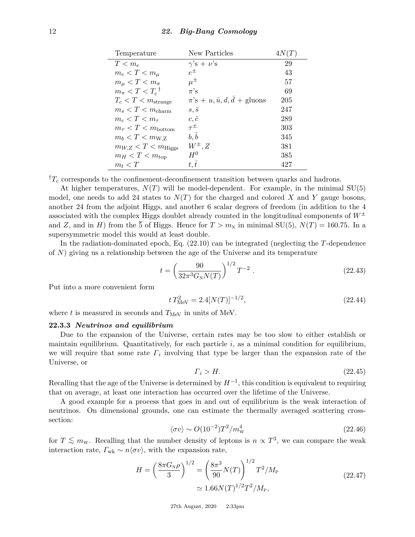| Temperature                        | New Particles                                | 4N(T) |
|------------------------------------|----------------------------------------------|-------|
| $T < m_e$                          | $\gamma$ 's + $\nu$ 's                       | 29    |
| $m_e < T < m_\mu$                  | $e^{\pm}$                                    | 43    |
| $m_{\mu} < T < m_{\pi}$            | $\mu^{\pm}$                                  | 57    |
| $m_{\pi} < T < T_c$ <sup>†</sup>   | $\pi$ 's                                     | 69    |
| $T_c < T < m_{\text{strange}}$     | $\pi$ 's + u, $\bar{u}$ , $d$ , $d$ + gluons | 205   |
| $m_s < T < m_{\text{charm}}$       | $s, \bar s$                                  | 247   |
| $m_c < T < m_\tau$                 | $c, \bar{c}$                                 | 289   |
| $m_{\tau} < T < m_{\text{bottom}}$ | $\tau^{\pm}$                                 | 303   |
| $m_b < T < m_{\text{W,Z}}$         | $b, \bar{b}$                                 | 345   |
| $m_{W,Z} < T < m_{\text{Higgs}}$   | $W^{\pm}, Z$                                 | 381   |
| $m_H < T < m_{\rm top}$            | $H^0$                                        | 385   |
| $m_t < T$                          | t, t                                         | 427   |

 ${}^{\dagger}T_c$  corresponds to the confinement-deconfinement transition between quarks and hadrons.

At higher temperatures,  $N(T)$  will be model-dependent. For example, in the minimal  $SU(5)$ model, one needs to add 24 states to  $N(T)$  for the charged and colored X and Y gauge bosons, another 24 from the adjoint Higgs, and another 6 scalar degrees of freedom (in addition to the 4 associated with the complex Higgs doublet already counted in the longitudinal components of  $W^{\pm}$ and *Z*, and in *H*) from the 5 of Higgs. Hence for  $T > m_X$  in minimal SU(5),  $N(T) = 160.75$ . In a supersymmetric model this would at least double.

In the radiation-dominated epoch, Eq. [\(22.10\)](#page-2-0) can be integrated (neglecting the *T*-dependence of *N*) giving us a relationship between the age of the Universe and its temperature

$$
t = \left(\frac{90}{32\pi^3 G_N N(T)}\right)^{1/2} T^{-2} . \tag{22.43}
$$

Put into a more convenient form

$$
t T_{\text{MeV}}^2 = 2.4[N(T)]^{-1/2},\tag{22.44}
$$

where  $t$  is measured in seconds and  $T_{\text{MeV}}$  in units of MeV.

#### <span id="page-11-0"></span>**22.3.3** *Neutrinos and equilibrium*

Due to the expansion of the Universe, certain rates may be too slow to either establish or maintain equilibrium. Quantitatively, for each particle *i*, as a minimal condition for equilibrium, we will require that some rate *Γ<sup>i</sup>* involving that type be larger than the expansion rate of the Universe, or

$$
\Gamma_i > H. \tag{22.45}
$$

Recalling that the age of the Universe is determined by  $H^{-1}$ , this condition is equivalent to requiring that on average, at least one interaction has occurred over the lifetime of the Universe.

A good example for a process that goes in and out of equilibrium is the weak interaction of neutrinos. On dimensional grounds, one can estimate the thermally averaged scattering crosssection:

$$
\langle \sigma v \rangle \sim O(10^{-2})T^2/m_{\rm W}^4 \tag{22.46}
$$

for  $T \lesssim m_{\rm w}$ . Recalling that the number density of leptons is  $n \propto T^3$ , we can compare the weak interaction rate,  $\Gamma_{\text{wk}} \sim n \langle \sigma v \rangle$ , with the expansion rate,

$$
H = \left(\frac{8\pi G_{\rm N}\rho}{3}\right)^{1/2} = \left(\frac{8\pi^3}{90}N(T)\right)^{1/2}T^2/M_{\rm P}
$$
  

$$
\approx 1.66N(T)^{1/2}T^2/M_{\rm P},
$$
 (22.47)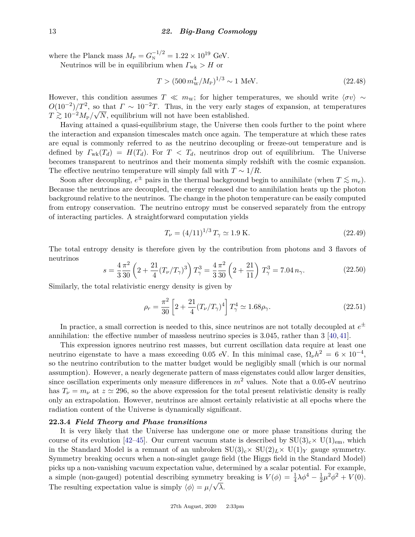where the Planck mass  $M_{\rm P} = G_{\rm N}^{-1/2} = 1.22 \times 10^{19}$  GeV.

Neutrinos will be in equilibrium when  $\Gamma_{\text{wk}} > H$  or

$$
T > (500 \, m_{\rm W}^4 / M_{\rm P})^{1/3} \sim 1 \text{ MeV}.
$$
 (22.48)

However, this condition assumes  $T \ll m_{\rm w}$ ; for higher temperatures, we should write  $\langle \sigma v \rangle \sim$  $O(10^{-2})/T^2$ , so that  $\Gamma \sim 10^{-2}T$ . Thus, in the very early stages of expansion, at temperatures  $T \gtrsim 10^{-2} M_{\text{P}} / \sqrt{N}$ , equilibrium will not have been established.

Having attained a quasi-equilibrium stage, the Universe then cools further to the point where the interaction and expansion timescales match once again. The temperature at which these rates are equal is commonly referred to as the neutrino decoupling or freeze-out temperature and is defined by  $\Gamma_{wk}(T_d) = H(T_d)$ . For  $T < T_d$ , neutrinos drop out of equilibrium. The Universe becomes transparent to neutrinos and their momenta simply redshift with the cosmic expansion. The effective neutrino temperature will simply fall with  $T \sim 1/R$ .

Soon after decoupling,  $e^{\pm}$  pairs in the thermal background begin to annihilate (when  $T \lesssim m_e$ ). Because the neutrinos are decoupled, the energy released due to annihilation heats up the photon background relative to the neutrinos. The change in the photon temperature can be easily computed from entropy conservation. The neutrino entropy must be conserved separately from the entropy of interacting particles. A straightforward computation yields

$$
T_{\nu} = (4/11)^{1/3} T_{\gamma} \simeq 1.9 \text{ K.}
$$
\n(22.49)

The total entropy density is therefore given by the contribution from photons and 3 flavors of neutrinos

$$
s = \frac{4}{3} \frac{\pi^2}{30} \left( 2 + \frac{21}{4} (T_\nu/T_\gamma)^3 \right) T_\gamma^3 = \frac{4}{3} \frac{\pi^2}{30} \left( 2 + \frac{21}{11} \right) T_\gamma^3 = 7.04 \, n_\gamma. \tag{22.50}
$$

Similarly, the total relativistic energy density is given by

$$
\rho_r = \frac{\pi^2}{30} \left[ 2 + \frac{21}{4} (T_\nu/T_\gamma)^4 \right] T_\gamma^4 \simeq 1.68 \rho_\gamma. \tag{22.51}
$$

In practice, a small correction is needed to this, since neutrinos are not totally decoupled at  $e^{\pm}$ annihilation: the effective number of massless neutrino species is 3.045, rather than 3 [\[40,](#page-26-16) [41\]](#page-26-17).

This expression ignores neutrino rest masses, but current oscillation data require at least one neutrino eigenstate to have a mass exceeding 0.05 eV. In this minimal case,  $\Omega_{\nu}h^2 = 6 \times 10^{-4}$ , so the neutrino contribution to the matter budget would be negligibly small (which is our normal assumption). However, a nearly degenerate pattern of mass eigenstates could allow larger densities, since oscillation experiments only measure differences in  $m^2$  values. Note that a 0.05-eV neutrino has  $T_{\nu} = m_{\nu}$  at  $z \approx 296$ , so the above expression for the total present relativistic density is really only an extrapolation. However, neutrinos are almost certainly relativistic at all epochs where the radiation content of the Universe is dynamically significant.

#### **22.3.4** *Field Theory and Phase transitions*

It is very likely that the Universe has undergone one or more phase transitions during the course of its evolution [\[42–](#page-26-18)[45\]](#page-26-19). Our current vacuum state is described by  $SU(3)_c\times U(1)_{em}$ , which in the Standard Model is a remnant of an unbroken  $SU(3)_c \times SU(2)_L \times U(1)_Y$  gauge symmetry. Symmetry breaking occurs when a non-singlet gauge field (the Higgs field in the Standard Model) picks up a non-vanishing vacuum expectation value, determined by a scalar potential. For example, a simple (non-gauged) potential describing symmetry breaking is  $V(\phi) = \frac{1}{4}\lambda\phi^4 - \frac{1}{2}$  $\frac{1}{2}\mu^2\phi^2 + V(0).$ The resulting expectation value is simply  $\langle \phi \rangle = \mu/\sqrt{\lambda}$ .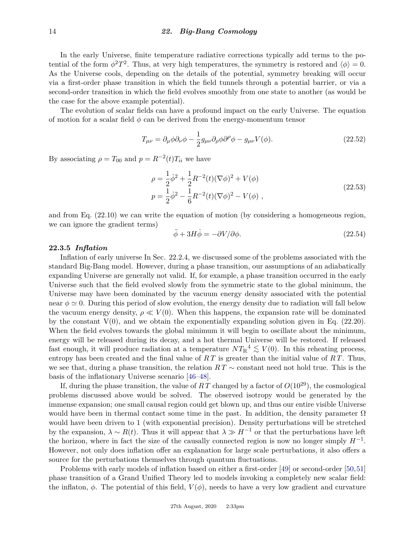In the early Universe, finite temperature radiative corrections typically add terms to the potential of the form  $\phi^2 T^2$ . Thus, at very high temperatures, the symmetry is restored and  $\langle \phi \rangle = 0$ . As the Universe cools, depending on the details of the potential, symmetry breaking will occur via a first-order phase transition in which the field tunnels through a potential barrier, or via a second-order transition in which the field evolves smoothly from one state to another (as would be the case for the above example potential).

The evolution of scalar fields can have a profound impact on the early Universe. The equation of motion for a scalar field  $\phi$  can be derived from the energy-momentum tensor

$$
T_{\mu\nu} = \partial_{\mu}\phi\partial_{\nu}\phi - \frac{1}{2}g_{\mu\nu}\partial_{\rho}\phi\partial^{\rho}\phi - g_{\mu\nu}V(\phi). \tag{22.52}
$$

By associating  $\rho = T_{00}$  and  $p = R^{-2}(t)T_{ii}$  we have

$$
\rho = \frac{1}{2}\dot{\phi}^2 + \frac{1}{2}R^{-2}(t)(\nabla\phi)^2 + V(\phi)
$$
  
\n
$$
p = \frac{1}{2}\dot{\phi}^2 - \frac{1}{6}R^{-2}(t)(\nabla\phi)^2 - V(\phi)
$$
, (22.53)

and from Eq. [\(22.10\)](#page-2-0) we can write the equation of motion (by considering a homogeneous region, we can ignore the gradient terms)

$$
\ddot{\phi} + 3H\dot{\phi} = -\partial V/\partial \phi.
$$
\n(22.54)

# <span id="page-13-0"></span>**22.3.5** *Inflation*

Inflation of early universe In Sec. [22.2.4,](#page-8-0) we discussed some of the problems associated with the standard Big-Bang model. However, during a phase transition, our assumptions of an adiabatically expanding Universe are generally not valid. If, for example, a phase transition occurred in the early Universe such that the field evolved slowly from the symmetric state to the global minimum, the Universe may have been dominated by the vacuum energy density associated with the potential near  $\phi \simeq 0$ . During this period of slow evolution, the energy density due to radiation will fall below the vacuum energy density,  $\rho \ll V(0)$ . When this happens, the expansion rate will be dominated by the constant  $V(0)$ , and we obtain the exponentially expanding solution given in Eq. [\(22.20\)](#page-3-2). When the field evolves towards the global minimum it will begin to oscillate about the minimum, energy will be released during its decay, and a hot thermal Universe will be restored. If released fast enough, it will produce radiation at a temperature  $NT_R^4 \lesssim V(0)$ . In this reheating process, entropy has been created and the final value of *R T* is greater than the initial value of *R T*. Thus, we see that, during a phase transition, the relation *R T* ∼ constant need not hold true. This is the basis of the inflationary Universe scenario [\[46](#page-26-20)[–48\]](#page-26-21).

If, during the phase transition, the value of  $RT$  changed by a factor of  $O(10^{29})$ , the cosmological problems discussed above would be solved. The observed isotropy would be generated by the immense expansion; one small causal region could get blown up, and thus our entire visible Universe would have been in thermal contact some time in the past. In addition, the density parameter  $\Omega$ would have been driven to 1 (with exponential precision). Density perturbations will be stretched by the expansion,  $\lambda \sim R(t)$ . Thus it will appear that  $\lambda \gg H^{-1}$  or that the perturbations have left the horizon, where in fact the size of the causally connected region is now no longer simply  $H^{-1}$ . However, not only does inflation offer an explanation for large scale perturbations, it also offers a source for the perturbations themselves through quantum fluctuations.

Problems with early models of inflation based on either a first-order [\[49\]](#page-26-22) or second-order [\[50,](#page-26-23)[51\]](#page-26-24) phase transition of a Grand Unified Theory led to models invoking a completely new scalar field: the inflaton,  $\phi$ . The potential of this field,  $V(\phi)$ , needs to have a very low gradient and curvature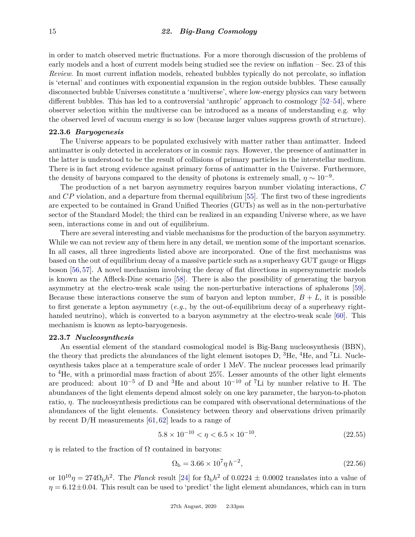in order to match observed metric fluctuations. For a more thorough discussion of the problems of early models and a host of current models being studied see the review on inflation – Sec. 23 of this *Review*. In most current inflation models, reheated bubbles typically do not percolate, so inflation is 'eternal' and continues with exponential expansion in the region outside bubbles. These causally disconnected bubble Universes constitute a 'multiverse', where low-energy physics can vary between different bubbles. This has led to a controversial 'anthropic' approach to cosmology [\[52–](#page-26-25)[54\]](#page-26-26), where observer selection within the multiverse can be introduced as a means of understanding e.g. why the observed level of vacuum energy is so low (because larger values suppress growth of structure).

#### **22.3.6** *Baryogenesis*

The Universe appears to be populated exclusively with matter rather than antimatter. Indeed antimatter is only detected in accelerators or in cosmic rays. However, the presence of antimatter in the latter is understood to be the result of collisions of primary particles in the interstellar medium. There is in fact strong evidence against primary forms of antimatter in the Universe. Furthermore, the density of baryons compared to the density of photons is extremely small,  $\eta \sim 10^{-9}$ .

The production of a net baryon asymmetry requires baryon number violating interactions, *C* and *CP* violation, and a departure from thermal equilibrium [\[55\]](#page-26-27). The first two of these ingredients are expected to be contained in Grand Unified Theories (GUTs) as well as in the non-perturbative sector of the Standard Model; the third can be realized in an expanding Universe where, as we have seen, interactions come in and out of equilibrium.

There are several interesting and viable mechanisms for the production of the baryon asymmetry. While we can not review any of them here in any detail, we mention some of the important scenarios. In all cases, all three ingredients listed above are incorporated. One of the first mechanisms was based on the out of equilibrium decay of a massive particle such as a superheavy GUT gauge or Higgs boson [\[56,](#page-27-0)[57\]](#page-27-1). A novel mechanism involving the decay of flat directions in supersymmetric models is known as the Affleck-Dine scenario [\[58\]](#page-27-2). There is also the possibility of generating the baryon asymmetry at the electro-weak scale using the non-perturbative interactions of sphalerons [\[59\]](#page-27-3). Because these interactions conserve the sum of baryon and lepton number,  $B + L$ , it is possible to first generate a lepton asymmetry (*e.g.*, by the out-of-equilibrium decay of a superheavy right-handed neutrino), which is converted to a baryon asymmetry at the electro-weak scale [\[60\]](#page-27-4). This mechanism is known as lepto-baryogenesis.

#### <span id="page-14-0"></span>**22.3.7** *Nucleosynthesis*

An essential element of the standard cosmological model is Big-Bang nucleosynthesis (BBN), the theory that predicts the abundances of the light element isotopes  $D$ , <sup>3</sup>He, <sup>4</sup>He, and <sup>7</sup>Li. Nucleosynthesis takes place at a temperature scale of order 1 MeV. The nuclear processes lead primarily to  ${}^{4}$ He, with a primordial mass fraction of about 25%. Lesser amounts of the other light elements are produced: about  $10^{-5}$  of D and <sup>3</sup>He and about  $10^{-10}$  of <sup>7</sup>Li by number relative to H. The abundances of the light elements depend almost solely on one key parameter, the baryon-to-photon ratio, *η*. The nucleosynthesis predictions can be compared with observational determinations of the abundances of the light elements. Consistency between theory and observations driven primarily by recent D/H measurements [\[61,](#page-27-5) [62\]](#page-27-6) leads to a range of

$$
5.8 \times 10^{-10} < \eta < 6.5 \times 10^{-10}.\tag{22.55}
$$

 $\eta$  is related to the fraction of  $\Omega$  contained in baryons:

$$
\Omega_{\rm b} = 3.66 \times 10^7 \eta \, h^{-2},\tag{22.56}
$$

or  $10^{10}\eta = 274\Omega_b h^2$ . The *Planck* result [\[24\]](#page-26-3) for  $\Omega_b h^2$  of 0.0224  $\pm$  0.0002 translates into a value of  $\eta = 6.12 \pm 0.04$ . This result can be used to 'predict' the light element abundances, which can in turn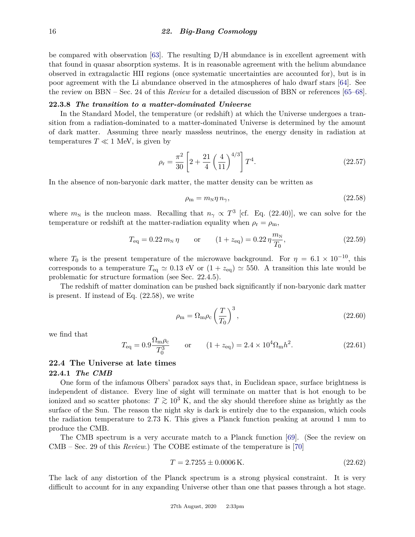be compared with observation  $[63]$ . The resulting D/H abundance is in excellent agreement with that found in quasar absorption systems. It is in reasonable agreement with the helium abundance observed in extragalactic HII regions (once systematic uncertainties are accounted for), but is in poor agreement with the Li abundance observed in the atmospheres of halo dwarf stars [\[64\]](#page-27-8). See the review on BBN – Sec. 24 of this *Review* for a detailed discussion of BBN or references [\[65–](#page-27-9)[68\]](#page-27-10).

# <span id="page-15-0"></span>**22.3.8** *The transition to a matter-dominated Universe*

In the Standard Model, the temperature (or redshift) at which the Universe undergoes a transition from a radiation-dominated to a matter-dominated Universe is determined by the amount of dark matter. Assuming three nearly massless neutrinos, the energy density in radiation at temperatures  $T \ll 1$  MeV, is given by

$$
\rho_{\rm r} = \frac{\pi^2}{30} \left[ 2 + \frac{21}{4} \left( \frac{4}{11} \right)^{4/3} \right] T^4. \tag{22.57}
$$

In the absence of non-baryonic dark matter, the matter density can be written as

<span id="page-15-1"></span>
$$
\rho_{\rm m} = m_{\rm N} \eta \, n_{\gamma},\tag{22.58}
$$

where  $m_N$  is the nucleon mass. Recalling that  $n_\gamma \propto T^3$  [cf. Eq. [\(22.40\)](#page-9-2)], we can solve for the temperature or redshift at the matter-radiation equality when  $\rho_r = \rho_m$ ,

$$
T_{\text{eq}} = 0.22 \, m_{\text{N}} \, \eta \qquad \text{or} \qquad (1 + z_{\text{eq}}) = 0.22 \, \eta \frac{m_{\text{N}}}{T_0}, \tag{22.59}
$$

where  $T_0$  is the present temperature of the microwave background. For  $\eta = 6.1 \times 10^{-10}$ , this corresponds to a temperature  $T_{eq} \simeq 0.13$  eV or  $(1 + z_{eq}) \simeq 550$ . A transition this late would be problematic for structure formation (see Sec. [22.4.5\)](#page-19-0).

The redshift of matter domination can be pushed back significantly if non-baryonic dark matter is present. If instead of Eq. [\(22.58\)](#page-15-1), we write

$$
\rho_{\rm m} = \Omega_{\rm m}\rho_{\rm c} \left(\frac{T}{T_0}\right)^3,\tag{22.60}
$$

we find that

$$
T_{\text{eq}} = 0.9 \frac{\Omega_{\text{m}} \rho_{\text{c}}}{T_0^3} \qquad \text{or} \qquad (1 + z_{\text{eq}}) = 2.4 \times 10^4 \Omega_{\text{m}} h^2. \tag{22.61}
$$

# **22.4 The Universe at late times**

#### **22.4.1** *The CMB*

One form of the infamous Olbers' paradox says that, in Euclidean space, surface brightness is independent of distance. Every line of sight will terminate on matter that is hot enough to be ionized and so scatter photons:  $T \gtrsim 10^3$  K, and the sky should therefore shine as brightly as the surface of the Sun. The reason the night sky is dark is entirely due to the expansion, which cools the radiation temperature to 2.73 K. This gives a Planck function peaking at around 1 mm to produce the CMB.

The CMB spectrum is a very accurate match to a Planck function [\[69\]](#page-27-11). (See the review on CMB – Sec. 29 of this *Review*.) The COBE estimate of the temperature is [\[70\]](#page-27-12)

$$
T = 2.7255 \pm 0.0006 \,\mathrm{K}.\tag{22.62}
$$

The lack of any distortion of the Planck spectrum is a strong physical constraint. It is very difficult to account for in any expanding Universe other than one that passes through a hot stage.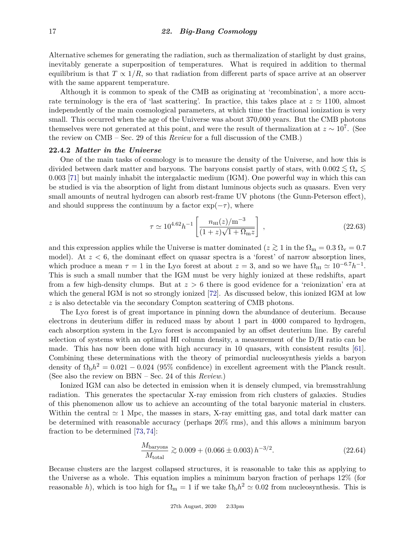Alternative schemes for generating the radiation, such as thermalization of starlight by dust grains, inevitably generate a superposition of temperatures. What is required in addition to thermal equilibrium is that  $T \propto 1/R$ , so that radiation from different parts of space arrive at an observer with the same apparent temperature.

Although it is common to speak of the CMB as originating at 'recombination', a more accurate terminology is the era of 'last scattering'. In practice, this takes place at  $z \approx 1100$ , almost independently of the main cosmological parameters, at which time the fractional ionization is very small. This occurred when the age of the Universe was about 370,000 years. But the CMB photons themselves were not generated at this point, and were the result of thermalization at  $z \sim 10^7$ . (See the review on CMB – Sec. 29 of this *Review* for a full discussion of the CMB.)

#### **22.4.2** *Matter in the Universe*

One of the main tasks of cosmology is to measure the density of the Universe, and how this is divided between dark matter and baryons. The baryons consist partly of stars, with  $0.002 \lesssim \Omega_* \lesssim$ 0*.*003 [\[71\]](#page-27-13) but mainly inhabit the intergalactic medium (IGM). One powerful way in which this can be studied is via the absorption of light from distant luminous objects such as quasars. Even very small amounts of neutral hydrogen can absorb rest-frame UV photons (the Gunn-Peterson effect), and should suppress the continuum by a factor  $\exp(-\tau)$ , where

$$
\tau \simeq 10^{4.62} h^{-1} \left[ \frac{n_{\rm HI}(z)/\rm m^{-3}}{(1+z)\sqrt{1+\Omega_{\rm m}z}} \right] \,, \tag{22.63}
$$

and this expression applies while the Universe is matter dominated ( $z \gtrsim 1$  in the  $\Omega_{\rm m} = 0.3 \Omega_{\rm v} = 0.7$ model). At  $z < 6$ , the dominant effect on quasar spectra is a 'forest' of narrow absorption lines, which produce a mean  $\tau = 1$  in the Ly $\alpha$  forest at about  $z = 3$ , and so we have  $\Omega_{\rm HI} \simeq 10^{-6.7} h^{-1}$ . This is such a small number that the IGM must be very highly ionized at these redshifts, apart from a few high-density clumps. But at *z >* 6 there is good evidence for a 'reionization' era at which the general IGM is not so strongly ionized [\[72\]](#page-27-14). As discussed below, this ionized IGM at low *z* is also detectable via the secondary Compton scattering of CMB photons.

The Ly*α* forest is of great importance in pinning down the abundance of deuterium. Because electrons in deuterium differ in reduced mass by about 1 part in 4000 compared to hydrogen, each absorption system in the  $Ly\alpha$  forest is accompanied by an offset deuterium line. By careful selection of systems with an optimal HI column density, a measurement of the D/H ratio can be made. This has now been done with high accuracy in 10 quasars, with consistent results [\[61\]](#page-27-5). Combining these determinations with the theory of primordial nucleosynthesis yields a baryon density of  $\Omega_{\rm b}h^2 = 0.021 - 0.024$  (95% confidence) in excellent agreement with the Planck result. (See also the review on BBN – Sec. 24 of this *Review*.)

Ionized IGM can also be detected in emission when it is densely clumped, via bremsstrahlung radiation. This generates the spectacular X-ray emission from rich clusters of galaxies. Studies of this phenomenon allow us to achieve an accounting of the total baryonic material in clusters. Within the central  $\simeq$  1 Mpc, the masses in stars, X-ray emitting gas, and total dark matter can be determined with reasonable accuracy (perhaps 20% rms), and this allows a minimum baryon fraction to be determined [\[73,](#page-27-15) [74\]](#page-27-16):

$$
\frac{M_{\text{baryons}}}{M_{\text{total}}} \gtrsim 0.009 + (0.066 \pm 0.003) h^{-3/2}.
$$
\n(22.64)

Because clusters are the largest collapsed structures, it is reasonable to take this as applying to the Universe as a whole. This equation implies a minimum baryon fraction of perhaps 12% (for reasonable *h*), which is too high for  $\Omega_{\rm m} = 1$  if we take  $\Omega_{\rm b} h^2 \simeq 0.02$  from nucleosynthesis. This is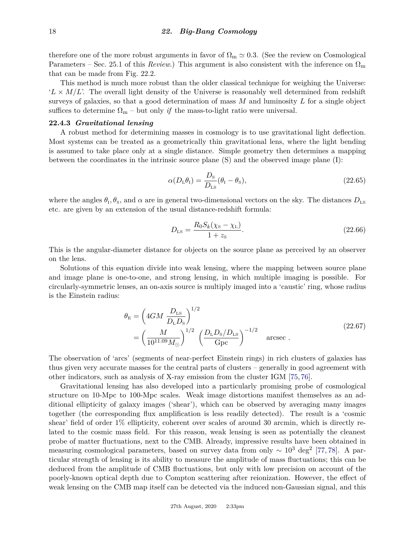therefore one of the more robust arguments in favor of  $\Omega_{\rm m} \simeq 0.3$ . (See the review on Cosmological Parameters – Sec. 25.1 of this *Review*.) This argument is also consistent with the inference on  $\Omega_{\rm m}$ that can be made from Fig. [22.2.](#page-7-0)

This method is much more robust than the older classical technique for weighing the Universe:  $'L \times M/L$ . The overall light density of the Universe is reasonably well determined from redshift surveys of galaxies, so that a good determination of mass *M* and luminosity *L* for a single object suffices to determine  $\Omega_{\rm m}$  – but only *if* the mass-to-light ratio were universal.

### **22.4.3** *Gravitational lensing*

A robust method for determining masses in cosmology is to use gravitational light deflection. Most systems can be treated as a geometrically thin gravitational lens, where the light bending is assumed to take place only at a single distance. Simple geometry then determines a mapping between the coordinates in the intrinsic source plane (S) and the observed image plane (I):

$$
\alpha(D_{\rm L}\theta_{\rm I}) = \frac{D_{\rm s}}{D_{\rm LS}}(\theta_{\rm I} - \theta_{\rm s}),\tag{22.65}
$$

where the angles  $\theta_{\rm I}, \theta_{\rm S}$ , and  $\alpha$  are in general two-dimensional vectors on the sky. The distances  $D_{\rm LS}$ etc. are given by an extension of the usual distance-redshift formula:

$$
D_{LS} = \frac{R_0 S_k (\chi_{\rm S} - \chi_{\rm L})}{1 + z_{\rm S}}.
$$
\n(22.66)

This is the angular-diameter distance for objects on the source plane as perceived by an observer on the lens.

Solutions of this equation divide into weak lensing, where the mapping between source plane and image plane is one-to-one, and strong lensing, in which multiple imaging is possible. For circularly-symmetric lenses, an on-axis source is multiply imaged into a 'caustic' ring, whose radius is the Einstein radius:

$$
\theta_{\rm E} = \left(4GM \frac{D_{\rm LS}}{D_{\rm L}D_{\rm S}}\right)^{1/2} \n= \left(\frac{M}{10^{11.09}M_{\odot}}\right)^{1/2} \left(\frac{D_{\rm L}D_{\rm S}/D_{\rm LS}}{\rm Gpc}\right)^{-1/2} \quad \text{arcsec}.
$$
\n(22.67)

The observation of 'arcs' (segments of near-perfect Einstein rings) in rich clusters of galaxies has thus given very accurate masses for the central parts of clusters – generally in good agreement with other indicators, such as analysis of X-ray emission from the cluster IGM [\[75,](#page-27-17) [76\]](#page-27-18).

Gravitational lensing has also developed into a particularly promising probe of cosmological structure on 10-Mpc to 100-Mpc scales. Weak image distortions manifest themselves as an additional ellipticity of galaxy images ('shear'), which can be observed by averaging many images together (the corresponding flux amplification is less readily detected). The result is a 'cosmic shear' field of order 1% ellipticity, coherent over scales of around 30 arcmin, which is directly related to the cosmic mass field. For this reason, weak lensing is seen as potentially the cleanest probe of matter fluctuations, next to the CMB. Already, impressive results have been obtained in measuring cosmological parameters, based on survey data from only  $\sim 10^3 \text{ deg}^2$  [\[77,](#page-27-19) [78\]](#page-27-20). A particular strength of lensing is its ability to measure the amplitude of mass fluctuations; this can be deduced from the amplitude of CMB fluctuations, but only with low precision on account of the poorly-known optical depth due to Compton scattering after reionization. However, the effect of weak lensing on the CMB map itself can be detected via the induced non-Gaussian signal, and this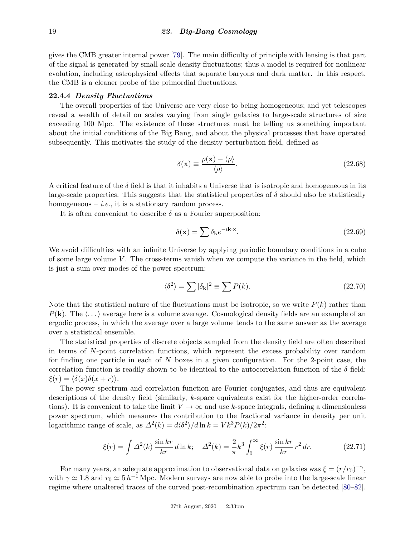gives the CMB greater internal power [\[79\]](#page-27-21). The main difficulty of principle with lensing is that part of the signal is generated by small-scale density fluctuations; thus a model is required for nonlinear evolution, including astrophysical effects that separate baryons and dark matter. In this respect, the CMB is a cleaner probe of the primordial fluctuations.

#### **22.4.4** *Density Fluctuations*

The overall properties of the Universe are very close to being homogeneous; and yet telescopes reveal a wealth of detail on scales varying from single galaxies to large-scale structures of size exceeding 100 Mpc. The existence of these structures must be telling us something important about the initial conditions of the Big Bang, and about the physical processes that have operated subsequently. This motivates the study of the density perturbation field, defined as

$$
\delta(\mathbf{x}) \equiv \frac{\rho(\mathbf{x}) - \langle \rho \rangle}{\langle \rho \rangle}.
$$
\n(22.68)

A critical feature of the  $\delta$  field is that it inhabits a Universe that is isotropic and homogeneous in its large-scale properties. This suggests that the statistical properties of  $\delta$  should also be statistically homogeneous  $-$  *i.e.*, it is a stationary random process.

It is often convenient to describe  $\delta$  as a Fourier superposition:

$$
\delta(\mathbf{x}) = \sum \delta_{\mathbf{k}} e^{-i\mathbf{k}\cdot\mathbf{x}}.\tag{22.69}
$$

We avoid difficulties with an infinite Universe by applying periodic boundary conditions in a cube of some large volume *V*. The cross-terms vanish when we compute the variance in the field, which is just a sum over modes of the power spectrum:

$$
\langle \delta^2 \rangle = \sum |\delta_{\mathbf{k}}|^2 \equiv \sum P(k). \tag{22.70}
$$

Note that the statistical nature of the fluctuations must be isotropic, so we write  $P(k)$  rather than  $P(\mathbf{k})$ . The  $\langle \ldots \rangle$  average here is a volume average. Cosmological density fields are an example of an ergodic process, in which the average over a large volume tends to the same answer as the average over a statistical ensemble.

The statistical properties of discrete objects sampled from the density field are often described in terms of *N*-point correlation functions, which represent the excess probability over random for finding one particle in each of *N* boxes in a given configuration. For the 2-point case, the correlation function is readily shown to be identical to the autocorrelation function of the  $\delta$  field:  $\xi(r) = \langle \delta(x) \delta(x+r) \rangle$ .

The power spectrum and correlation function are Fourier conjugates, and thus are equivalent descriptions of the density field (similarly, *k*-space equivalents exist for the higher-order correlations). It is convenient to take the limit  $V \to \infty$  and use *k*-space integrals, defining a dimensionless power spectrum, which measures the contribution to the fractional variance in density per unit logarithmic range of scale, as  $\Delta^2(k) = d\langle \delta^2 \rangle / d \ln k = V k^3 P(k) / 2\pi^2$ :

$$
\xi(r) = \int \Delta^2(k) \frac{\sin kr}{kr} \, d\ln k; \quad \Delta^2(k) = \frac{2}{\pi} k^3 \int_0^\infty \xi(r) \, \frac{\sin kr}{kr} \, r^2 \, dr. \tag{22.71}
$$

For many years, an adequate approximation to observational data on galaxies was  $\xi = (r/r_0)^{-\gamma}$ , with  $\gamma \simeq 1.8$  and  $r_0 \simeq 5 h^{-1}$  Mpc. Modern surveys are now able to probe into the large-scale linear regime where unaltered traces of the curved post-recombination spectrum can be detected [\[80–](#page-27-22)[82\]](#page-27-23).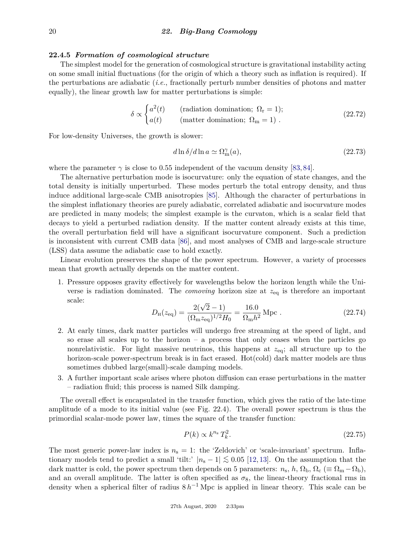#### <span id="page-19-0"></span>**22.4.5** *Formation of cosmological structure*

The simplest model for the generation of cosmological structure is gravitational instability acting on some small initial fluctuations (for the origin of which a theory such as inflation is required). If the perturbations are adiabatic (*i.e.*, fractionally perturb number densities of photons and matter equally), the linear growth law for matter perturbations is simple:

$$
\delta \propto \begin{cases}\na^2(t) & \text{(radiation domination; }\Omega_{\rm r}=1); \\
a(t) & \text{(matter domination; }\Omega_{\rm m}=1).\n\end{cases}
$$
\n(22.72)

For low-density Universes, the growth is slower:

$$
d\ln \delta/d\ln a \simeq \Omega_{\rm m}^{\gamma}(a),\tag{22.73}
$$

where the parameter  $\gamma$  is close to 0.55 independent of the vacuum density [\[83,](#page-27-24)[84\]](#page-27-25).

The alternative perturbation mode is isocurvature: only the equation of state changes, and the total density is initially unperturbed. These modes perturb the total entropy density, and thus induce additional large-scale CMB anisotropies [\[85\]](#page-27-26). Although the character of perturbations in the simplest inflationary theories are purely adiabatic, correlated adiabatic and isocurvature modes are predicted in many models; the simplest example is the curvaton, which is a scalar field that decays to yield a perturbed radiation density. If the matter content already exists at this time, the overall perturbation field will have a significant isocurvature component. Such a prediction is inconsistent with current CMB data [\[86\]](#page-27-27), and most analyses of CMB and large-scale structure (LSS) data assume the adiabatic case to hold exactly.

Linear evolution preserves the shape of the power spectrum. However, a variety of processes mean that growth actually depends on the matter content.

1. Pressure opposes gravity effectively for wavelengths below the horizon length while the Universe is radiation dominated. The *comoving* horizon size at *z*eq is therefore an important scale:

$$
D_{\rm H}(z_{\rm eq}) = \frac{2(\sqrt{2}-1)}{(\Omega_{\rm m} z_{\rm eq})^{1/2} H_0} = \frac{16.0}{\Omega_{\rm m} h^2} \,\text{Mpc} \,.
$$
 (22.74)

- 2. At early times, dark matter particles will undergo free streaming at the speed of light, and so erase all scales up to the horizon – a process that only ceases when the particles go nonrelativistic. For light massive neutrinos, this happens at *z*eq; all structure up to the horizon-scale power-spectrum break is in fact erased. Hot(cold) dark matter models are thus sometimes dubbed large(small)-scale damping models.
- 3. A further important scale arises where photon diffusion can erase perturbations in the matter – radiation fluid; this process is named Silk damping.

The overall effect is encapsulated in the transfer function, which gives the ratio of the late-time amplitude of a mode to its initial value (see Fig. [22.4\)](#page-20-0). The overall power spectrum is thus the primordial scalar-mode power law, times the square of the transfer function:

$$
P(k) \propto k^{n_s} T_k^2. \tag{22.75}
$$

The most generic power-law index is  $n_s = 1$ : the 'Zeldovich' or 'scale-invariant' spectrum. Inflationary models tend to predict a small 'tilt:'  $|n_{s} - 1| \lesssim 0.05$  [\[12,](#page-25-12) [13\]](#page-25-13). On the assumption that the dark matter is cold, the power spectrum then depends on 5 parameters:  $n_s$ ,  $h$ ,  $\Omega_b$ ,  $\Omega_c$  ( $\equiv \Omega_m - \Omega_b$ ), and an overall amplitude. The latter is often specified as  $\sigma_8$ , the linear-theory fractional rms in density when a spherical filter of radius  $8 h^{-1}$  Mpc is applied in linear theory. This scale can be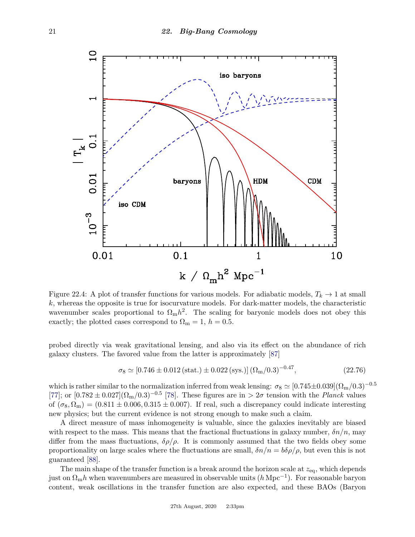<span id="page-20-0"></span>

Figure 22.4: A plot of transfer functions for various models. For adiabatic models,  $T_k \to 1$  at small *k*, whereas the opposite is true for isocurvature models. For dark-matter models, the characteristic wavenumber scales proportional to  $\Omega_{\rm m}h^2$ . The scaling for baryonic models does not obey this exactly; the plotted cases correspond to  $\Omega_{\rm m} = 1, h = 0.5$ .

probed directly via weak gravitational lensing, and also via its effect on the abundance of rich galaxy clusters. The favored value from the latter is approximately [\[87\]](#page-27-28)

$$
\sigma_8 \simeq [0.746 \pm 0.012 \text{ (stat.)} \pm 0.022 \text{ (sys.)}] (\Omega_m / 0.3)^{-0.47}, \tag{22.76}
$$

which is rather similar to the normalization inferred from weak lensing:  $\sigma_8 \simeq [0.745 \pm 0.039](\Omega_{\rm m}/0.3)^{-0.5}$ [\[77\]](#page-27-19); or  $[0.782 \pm 0.027](\Omega_{\rm m}/0.3)^{-0.5}$  [\[78\]](#page-27-20). These figures are in  $> 2\sigma$  tension with the *Planck* values of  $(\sigma_8, \Omega_m) = (0.811 \pm 0.006, 0.315 \pm 0.007)$ . If real, such a discrepancy could indicate interesting new physics; but the current evidence is not strong enough to make such a claim.

A direct measure of mass inhomogeneity is valuable, since the galaxies inevitably are biased with respect to the mass. This means that the fractional fluctuations in galaxy number,  $\delta n/n$ , may differ from the mass fluctuations,  $\delta \rho / \rho$ . It is commonly assumed that the two fields obey some proportionality on large scales where the fluctuations are small,  $\delta n/n = b\delta\rho/\rho$ , but even this is not guaranteed [\[88\]](#page-27-29).

The main shape of the transfer function is a break around the horizon scale at *z*eq, which depends just on Ωm*h* when wavenumbers are measured in observable units (*h* Mpc−<sup>1</sup> ). For reasonable baryon content, weak oscillations in the transfer function are also expected, and these BAOs (Baryon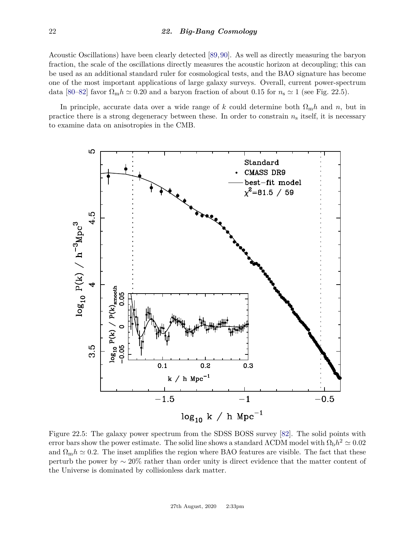Acoustic Oscillations) have been clearly detected [\[89,](#page-27-30)[90\]](#page-28-0). As well as directly measuring the baryon fraction, the scale of the oscillations directly measures the acoustic horizon at decoupling; this can be used as an additional standard ruler for cosmological tests, and the BAO signature has become one of the most important applications of large galaxy surveys. Overall, current power-spectrum data [\[80–](#page-27-22)[82\]](#page-27-23) favor  $\Omega_{\rm m}h \simeq 0.20$  and a baryon fraction of about 0.15 for  $n_s \simeq 1$  (see Fig. [22.5\)](#page-21-0).

In principle, accurate data over a wide range of k could determine both  $\Omega_{\rm m}h$  and n, but in practice there is a strong degeneracy between these. In order to constrain *n*<sup>s</sup> itself, it is necessary to examine data on anisotropies in the CMB.

<span id="page-21-0"></span>

Figure 22.5: The galaxy power spectrum from the SDSS BOSS survey [\[82\]](#page-27-23). The solid points with error bars show the power estimate. The solid line shows a standard  $\Lambda$ CDM model with  $\Omega_{\rm{b}}h^2 \simeq 0.02$ and  $\Omega_{\rm m}h \simeq 0.2$ . The inset amplifies the region where BAO features are visible. The fact that these perturb the power by ∼ 20% rather than order unity is direct evidence that the matter content of the Universe is dominated by collisionless dark matter.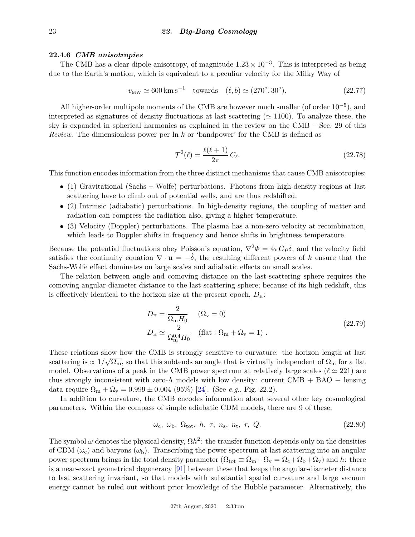# **22.4.6** *CMB anisotropies*

The CMB has a clear dipole anisotropy, of magnitude  $1.23 \times 10^{-3}$ . This is interpreted as being due to the Earth's motion, which is equivalent to a peculiar velocity for the Milky Way of

$$
v_{\rm MW} \simeq 600 \,\rm km\,s^{-1} \quad towards \quad (\ell, b) \simeq (270^{\circ}, 30^{\circ}). \tag{22.77}
$$

All higher-order multipole moments of the CMB are however much smaller (of order  $10^{-5}$ ), and interpreted as signatures of density fluctuations at last scattering ( $\simeq$  1100). To analyze these, the sky is expanded in spherical harmonics as explained in the review on the CMB – Sec. 29 of this *Review*. The dimensionless power per ln *k* or 'bandpower' for the CMB is defined as

$$
\mathcal{T}^2(\ell) = \frac{\ell(\ell+1)}{2\pi} C_{\ell}.\tag{22.78}
$$

This function encodes information from the three distinct mechanisms that cause CMB anisotropies:

- (1) Gravitational (Sachs Wolfe) perturbations. Photons from high-density regions at last scattering have to climb out of potential wells, and are thus redshifted.
- (2) Intrinsic (adiabatic) perturbations. In high-density regions, the coupling of matter and radiation can compress the radiation also, giving a higher temperature.
- (3) Velocity (Doppler) perturbations. The plasma has a non-zero velocity at recombination, which leads to Doppler shifts in frequency and hence shifts in brightness temperature.

Because the potential fluctuations obey Poisson's equation,  $\nabla^2 \Phi = 4\pi G \rho \delta$ , and the velocity field satisfies the continuity equation  $\nabla \cdot \mathbf{u} = -\delta$ , the resulting different powers of k ensure that the Sachs-Wolfe effect dominates on large scales and adiabatic effects on small scales.

The relation between angle and comoving distance on the last-scattering sphere requires the comoving angular-diameter distance to the last-scattering sphere; because of its high redshift, this is effectively identical to the horizon size at the present epoch,  $D_{\rm H}$ :

$$
D_{\rm H} = \frac{2}{\Omega_{\rm m} H_0} \quad (\Omega_{\rm v} = 0)
$$
  
\n
$$
D_{\rm H} \simeq \frac{2}{\Omega_{\rm m}^{0.4} H_0} \quad (\text{flat}: \Omega_{\rm m} + \Omega_{\rm v} = 1) \ .
$$
\n(22.79)

These relations show how the CMB is strongly sensitive to curvature: the horizon length at last scattering is  $\propto 1/\sqrt{\Omega_{\rm m}}$ , so that this subtends an angle that is virtually independent of  $\Omega_{\rm m}$  for a flat model. Observations of a peak in the CMB power spectrum at relatively large scales ( $\ell \approx 221$ ) are thus strongly inconsistent with zero- $\Lambda$  models with low density: current CMB + BAO + lensing data require  $\Omega_{\rm m} + \Omega_{\rm v} = 0.999 \pm 0.004$  (95%) [\[24\]](#page-26-3). (See *e.g.*, Fig. [22.2\)](#page-7-0).

In addition to curvature, the CMB encodes information about several other key cosmological parameters. Within the compass of simple adiabatic CDM models, there are 9 of these:

$$
\omega_{\rm c}, \omega_{\rm b}, \Omega_{\rm tot}, \ h, \ \tau, \ n_{\rm s}, \ n_{\rm t}, \ r, \ Q. \tag{22.80}
$$

The symbol  $\omega$  denotes the physical density,  $\Omega h^2$ : the transfer function depends only on the densities of CDM  $(\omega_c)$  and baryons  $(\omega_b)$ . Transcribing the power spectrum at last scattering into an angular power spectrum brings in the total density parameter  $(\Omega_{\text{tot}} \equiv \Omega_{\text{m}} + \Omega_{\text{v}} = \Omega_{\text{c}} + \Omega_{\text{b}} + \Omega_{\text{v}})$  and *h*: there is a near-exact geometrical degeneracy [\[91\]](#page-28-1) between these that keeps the angular-diameter distance to last scattering invariant, so that models with substantial spatial curvature and large vacuum energy cannot be ruled out without prior knowledge of the Hubble parameter. Alternatively, the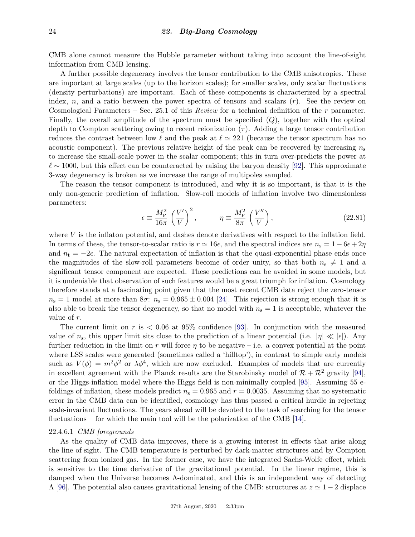CMB alone cannot measure the Hubble parameter without taking into account the line-of-sight information from CMB lensing.

A further possible degeneracy involves the tensor contribution to the CMB anisotropies. These are important at large scales (up to the horizon scales); for smaller scales, only scalar fluctuations (density perturbations) are important. Each of these components is characterized by a spectral index, *n*, and a ratio between the power spectra of tensors and scalars (*r*). See the review on Cosmological Parameters – Sec. 25.1 of this *Review* for a technical definition of the *r* parameter. Finally, the overall amplitude of the spectrum must be specified (*Q*), together with the optical depth to Compton scattering owing to recent reionization  $(\tau)$ . Adding a large tensor contribution reduces the contrast between low  $\ell$  and the peak at  $\ell \simeq 221$  (because the tensor spectrum has no acoustic component). The previous relative height of the peak can be recovered by increasing  $n_s$ to increase the small-scale power in the scalar component; this in turn over-predicts the power at  $\ell \sim 1000$ , but this effect can be counteracted by raising the baryon density [\[92\]](#page-28-2). This approximate 3-way degeneracy is broken as we increase the range of multipoles sampled.

The reason the tensor component is introduced, and why it is so important, is that it is the only non-generic prediction of inflation. Slow-roll models of inflation involve two dimensionless parameters:

$$
\epsilon \equiv \frac{M_{\rm P}^2}{16\pi} \left(\frac{V'}{V}\right)^2, \qquad \eta \equiv \frac{M_{\rm P}^2}{8\pi} \left(\frac{V''}{V}\right), \tag{22.81}
$$

where *V* is the inflaton potential, and dashes denote derivatives with respect to the inflation field. In terms of these, the tensor-to-scalar ratio is  $r \approx 16\epsilon$ , and the spectral indices are  $n_s = 1 - 6\epsilon + 2\eta$ and  $n_t = -2\epsilon$ . The natural expectation of inflation is that the quasi-exponential phase ends once the magnitudes of the slow-roll parameters become of order unity, so that both  $n_s \neq 1$  and a significant tensor component are expected. These predictions can be avoided in some models, but it is undeniable that observation of such features would be a great triumph for inflation. Cosmology therefore stands at a fascinating point given that the most recent CMB data reject the zero-tensor  $n_s = 1$  model at more than  $8\sigma$ :  $n_s = 0.965 \pm 0.004$  [\[24\]](#page-26-3). This rejection is strong enough that it is also able to break the tensor degeneracy, so that no model with  $n<sub>s</sub> = 1$  is acceptable, whatever the value of *r*.

The current limit on  $r$  is  $\lt 0.06$  at 95% confidence [\[93\]](#page-28-3). In conjunction with the measured value of  $n_s$ , this upper limit sits close to the prediction of a linear potential (i.e.  $|\eta| \ll |\epsilon|$ ). Any further reduction in the limit on *r* will force  $\eta$  to be negative – i.e. a convex potential at the point where LSS scales were generated (sometimes called a 'hilltop'), in contrast to simple early models such as  $V(\phi) = m^2 \phi^2$  or  $\lambda \phi^4$ , which are now excluded. Examples of models that are currently in excellent agreement with the Planck results are the Starobinsky model of  $\mathcal{R} + \mathcal{R}^2$  gravity [\[94\]](#page-28-4), or the Higgs-inflation model where the Higgs field is non-minimally coupled [\[95\]](#page-28-5). Assuming 55 efoldings of inflation, these models predict  $n_s = 0.965$  and  $r = 0.0035$ . Assuming that no systematic error in the CMB data can be identified, cosmology has thus passed a critical hurdle in rejecting scale-invariant fluctuations. The years ahead will be devoted to the task of searching for the tensor fluctuations – for which the main tool will be the polarization of the CMB  $[14]$ .

# 22.4.6.1 *CMB foregrounds*

As the quality of CMB data improves, there is a growing interest in effects that arise along the line of sight. The CMB temperature is perturbed by dark-matter structures and by Compton scattering from ionized gas. In the former case, we have the integrated Sachs-Wolfe effect, which is sensitive to the time derivative of the gravitational potential. In the linear regime, this is damped when the Universe becomes Λ-dominated, and this is an independent way of detecting  $\Lambda$  [\[96\]](#page-28-6). The potential also causes gravitational lensing of the CMB: structures at  $z \approx 1 - 2$  displace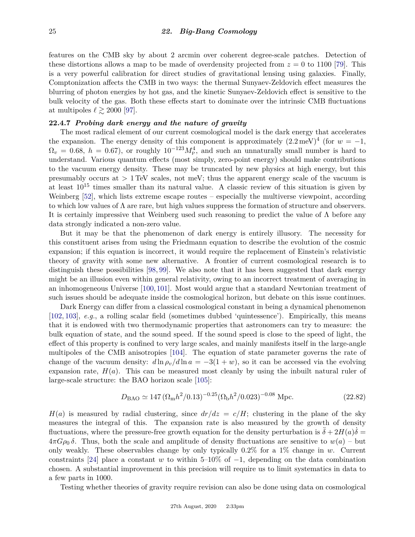features on the CMB sky by about 2 arcmin over coherent degree-scale patches. Detection of these distortions allows a map to be made of overdensity projected from  $z = 0$  to 1100 [\[79\]](#page-27-21). This is a very powerful calibration for direct studies of gravitational lensing using galaxies. Finally, Comptonization affects the CMB in two ways: the thermal Sunyaev-Zeldovich effect measures the blurring of photon energies by hot gas, and the kinetic Sunyaev-Zeldovich effect is sensitive to the bulk velocity of the gas. Both these effects start to dominate over the intrinsic CMB fluctuations at multipoles  $\ell \gtrsim 2000$  [\[97\]](#page-28-7).

# **22.4.7** *Probing dark energy and the nature of gravity*

The most radical element of our current cosmological model is the dark energy that accelerates the expansion. The energy density of this component is approximately  $(2.2 \text{ meV})^4$  (for  $w = -1$ ,  $\Omega_v = 0.68, h = 0.67$ , or roughly  $10^{-123} M_{\rm Pl}^4$ , and such an unnaturally small number is hard to understand. Various quantum effects (most simply, zero-point energy) should make contributions to the vacuum energy density. These may be truncated by new physics at high energy, but this presumably occurs at *>* 1 TeV scales, not meV; thus the apparent energy scale of the vacuum is at least  $10^{15}$  times smaller than its natural value. A classic review of this situation is given by Weinberg [\[52\]](#page-26-25), which lists extreme escape routes – especially the multiverse viewpoint, according to which low values of  $\Lambda$  are rare, but high values suppress the formation of structure and observers. It is certainly impressive that Weinberg used such reasoning to predict the value of  $\Lambda$  before any data strongly indicated a non-zero value.

But it may be that the phenomenon of dark energy is entirely illusory. The necessity for this constituent arises from using the Friedmann equation to describe the evolution of the cosmic expansion; if this equation is incorrect, it would require the replacement of Einstein's relativistic theory of gravity with some new alternative. A frontier of current cosmological research is to distinguish these possibilities [\[98,](#page-28-8) [99\]](#page-28-9). We also note that it has been suggested that dark energy might be an illusion even within general relativity, owing to an incorrect treatment of averaging in an inhomogeneous Universe [\[100,](#page-28-10) [101\]](#page-28-11). Most would argue that a standard Newtonian treatment of such issues should be adequate inside the cosmological horizon, but debate on this issue continues.

Dark Energy can differ from a classical cosmological constant in being a dynamical phenomenon [\[102,](#page-28-12) [103\]](#page-28-13), *e.g.*, a rolling scalar field (sometimes dubbed 'quintessence'). Empirically, this means that it is endowed with two thermodynamic properties that astronomers can try to measure: the bulk equation of state, and the sound speed. If the sound speed is close to the speed of light, the effect of this property is confined to very large scales, and mainly manifests itself in the large-angle multipoles of the CMB anisotropies [\[104\]](#page-28-14). The equation of state parameter governs the rate of change of the vacuum density:  $d \ln \rho_v / d \ln a = -3(1+w)$ , so it can be accessed via the evolving expansion rate,  $H(a)$ . This can be measured most cleanly by using the inbuilt natural ruler of large-scale structure: the BAO horizon scale [\[105\]](#page-28-15):

$$
D_{\rm BAO} \simeq 147 \left(\Omega_{\rm m} h^2 / 0.13\right)^{-0.25} \left(\Omega_{\rm b} h^2 / 0.023\right)^{-0.08} \,\mathrm{Mpc}.\tag{22.82}
$$

 $H(a)$  is measured by radial clustering, since  $dr/dz = c/H$ ; clustering in the plane of the sky measures the integral of this. The expansion rate is also measured by the growth of density fluctuations, where the pressure-free growth equation for the density perturbation is  $\ddot{\delta} + 2H(a)\dot{\delta} =$  $4\pi G\rho_0 \delta$ . Thus, both the scale and amplitude of density fluctuations are sensitive to  $w(a)$  – but only weakly. These observables change by only typically 0.2% for a 1% change in *w*. Current constraints [\[24\]](#page-26-3) place a constant *w* to within 5–10% of  $-1$ , depending on the data combination chosen. A substantial improvement in this precision will require us to limit systematics in data to a few parts in 1000.

Testing whether theories of gravity require revision can also be done using data on cosmological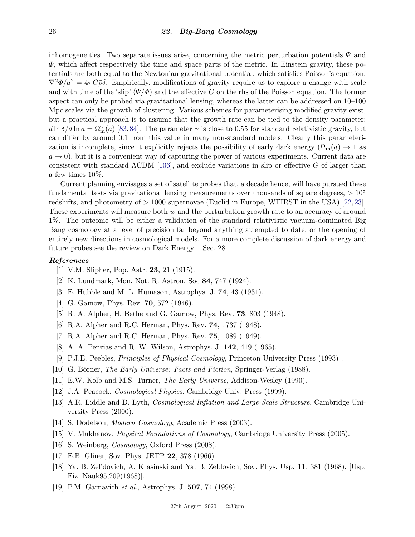inhomogeneities. Two separate issues arise, concerning the metric perturbation potentials *Ψ* and *Φ*, which affect respectively the time and space parts of the metric. In Einstein gravity, these potentials are both equal to the Newtonian gravitational potential, which satisfies Poisson's equation:  $\nabla^2 \Phi/a^2 = 4\pi G \bar{\rho} \delta$ . Empirically, modifications of gravity require us to explore a change with scale and with time of the 'slip'  $(\Psi/\Phi)$  and the effective *G* on the rhs of the Poisson equation. The former aspect can only be probed via gravitational lensing, whereas the latter can be addressed on 10–100 Mpc scales via the growth of clustering. Various schemes for parameterising modified gravity exist, but a practical approach is to assume that the growth rate can be tied to the density parameter:  $d\ln\delta/d\ln a = \Omega_{\rm m}^{\gamma}(a)$  [\[83,](#page-27-24)[84\]](#page-27-25). The parameter  $\gamma$  is close to 0.55 for standard relativistic gravity, but can differ by around 0.1 from this value in many non-standard models. Clearly this parameterization is incomplete, since it explicitly rejects the possibility of early dark energy  $(\Omega_m(a) \to 1$  as  $a \rightarrow 0$ ), but it is a convenient way of capturing the power of various experiments. Current data are consistent with standard ΛCDM [\[106\]](#page-28-16), and exclude variations in slip or effective *G* of larger than a few times 10%.

Current planning envisages a set of satellite probes that, a decade hence, will have pursued these fundamental tests via gravitational lensing measurements over thousands of square degrees, *>* 10<sup>8</sup> redshifts, and photometry of *>* 1000 supernovae (Euclid in Europe, WFIRST in the USA) [\[22,](#page-26-1)[23\]](#page-26-2). These experiments will measure both *w* and the perturbation growth rate to an accuracy of around 1%. The outcome will be either a validation of the standard relativistic vacuum-dominated Big Bang cosmology at a level of precision far beyond anything attempted to date, or the opening of entirely new directions in cosmological models. For a more complete discussion of dark energy and future probes see the review on Dark Energy – Sec. 28

#### <span id="page-25-0"></span>*References*

- [1] V.M. Slipher, Pop. Astr. **23**, 21 (1915).
- <span id="page-25-1"></span>[2] K. Lundmark, Mon. Not. R. Astron. Soc **84**, 747 (1924).
- [3] E. Hubble and M. L. Humason, Astrophys. J. **74**, 43 (1931).
- <span id="page-25-2"></span>[4] G. Gamow, Phys. Rev. **70**, 572 (1946).
- <span id="page-25-3"></span>[5] R. A. Alpher, H. Bethe and G. Gamow, Phys. Rev. **73**, 803 (1948).
- <span id="page-25-4"></span>[6] R.A. Alpher and R.C. Herman, Phys. Rev. **74**, 1737 (1948).
- <span id="page-25-5"></span>[7] R.A. Alpher and R.C. Herman, Phys. Rev. **75**, 1089 (1949).
- <span id="page-25-6"></span>[8] A. A. Penzias and R. W. Wilson, Astrophys. J. **142**, 419 (1965).
- <span id="page-25-7"></span>[9] P.J.E. Peebles, *Principles of Physical Cosmology*, Princeton University Press (1993) .
- [10] G. Börner, *The Early Universe: Facts and Fiction*, Springer-Verlag (1988).
- [11] E.W. Kolb and M.S. Turner, *The Early Universe*, Addison-Wesley (1990).
- <span id="page-25-12"></span>[12] J.A. Peacock, *Cosmological Physics*, Cambridge Univ. Press (1999).
- <span id="page-25-13"></span>[13] A.R. Liddle and D. Lyth, *Cosmological Inflation and Large-Scale Structure*, Cambridge University Press (2000).
- <span id="page-25-14"></span>[14] S. Dodelson, *Modern Cosmology*, Academic Press (2003).
- [15] V. Mukhanov, *Physical Foundations of Cosmology*, Cambridge University Press (2005).
- <span id="page-25-8"></span>[16] S. Weinberg, *Cosmology*, Oxford Press (2008).
- <span id="page-25-9"></span>[17] E.B. Gliner, Sov. Phys. JETP **22**, 378 (1966).
- <span id="page-25-10"></span>[18] Ya. B. Zel'dovich, A. Krasinski and Ya. B. Zeldovich, Sov. Phys. Usp. **11**, 381 (1968), [Usp. Fiz. Nauk95,209(1968)].
- <span id="page-25-11"></span>[19] P.M. Garnavich *et al.*, Astrophys. J. **507**, 74 (1998).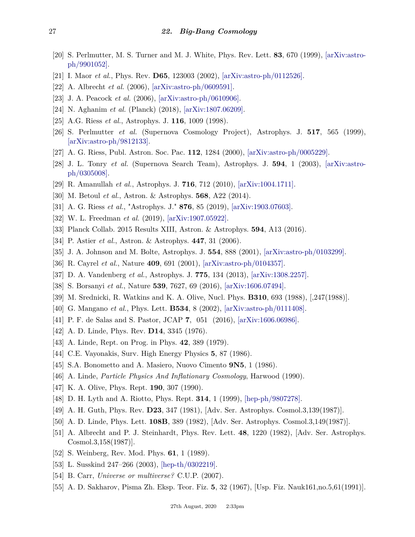- [20] S. Perlmutter, M. S. Turner and M. J. White, Phys. Rev. Lett. **83**, 670 (1999), [\[arXiv:astro](http://arxiv.org/abs/astro-ph/9901052)[ph/9901052\].](http://arxiv.org/abs/astro-ph/9901052)
- <span id="page-26-0"></span>[21] I. Maor *et al.*, Phys. Rev. **D65**, 123003 (2002), [\[arXiv:astro-ph/0112526\].](http://arxiv.org/abs/astro-ph/0112526)
- <span id="page-26-1"></span>[22] A. Albrecht *et al.* (2006), [\[arXiv:astro-ph/0609591\].](http://arxiv.org/abs/astro-ph/0609591)
- <span id="page-26-2"></span>[23] J. A. Peacock *et al.* (2006), [\[arXiv:astro-ph/0610906\].](http://arxiv.org/abs/astro-ph/0610906)
- <span id="page-26-3"></span>[24] N. Aghanim *et al.* (Planck) (2018), [\[arXiv:1807.06209\].](http://arxiv.org/abs/1807.06209)
- <span id="page-26-4"></span>[25] A.G. Riess *et al.*, Astrophys. J. **116**, 1009 (1998).
- [26] S. Perlmutter *et al.* (Supernova Cosmology Project), Astrophys. J. **517**, 565 (1999), [\[arXiv:astro-ph/9812133\].](http://arxiv.org/abs/astro-ph/9812133)
- [27] A. G. Riess, Publ. Astron. Soc. Pac. **112**, 1284 (2000), [\[arXiv:astro-ph/0005229\].](http://arxiv.org/abs/astro-ph/0005229)
- <span id="page-26-6"></span>[28] J. L. Tonry *et al.* (Supernova Search Team), Astrophys. J. **594**, 1 (2003), [\[arXiv:astro](http://arxiv.org/abs/astro-ph/0305008)[ph/0305008\].](http://arxiv.org/abs/astro-ph/0305008)
- [29] R. Amanullah *et al.*, Astrophys. J. **716**, 712 (2010), [\[arXiv:1004.1711\].](http://arxiv.org/abs/1004.1711)
- <span id="page-26-7"></span><span id="page-26-5"></span>[30] M. Betoul *et al.*, Astron. & Astrophys. **568**, A22 (2014).
- <span id="page-26-8"></span>[31] A. G. Riess *et al.*, "Astrophys. J." **876**, 85 (2019), [\[arXiv:1903.07603\].](http://arxiv.org/abs/1903.07603)
- [32] W. L. Freedman *et al.* (2019), [\[arXiv:1907.05922\].](http://arxiv.org/abs/1907.05922)
- <span id="page-26-10"></span><span id="page-26-9"></span>[33] Planck Collab. 2015 Results XIII, Astron. & Astrophys. **594**, A13 (2016).
- [34] P. Astier *et al.*, Astron. & Astrophys. **447**, 31 (2006).
- <span id="page-26-11"></span>[35] J. A. Johnson and M. Bolte, Astrophys. J. **554**, 888 (2001), [\[arXiv:astro-ph/0103299\].](http://arxiv.org/abs/astro-ph/0103299)
- <span id="page-26-13"></span><span id="page-26-12"></span>[36] R. Cayrel *et al.*, Nature **409**, 691 (2001), [\[arXiv:astro-ph/0104357\].](http://arxiv.org/abs/astro-ph/0104357)
- [37] D. A. Vandenberg *et al.*, Astrophys. J. **775**, 134 (2013), [\[arXiv:1308.2257\].](http://arxiv.org/abs/1308.2257)
- <span id="page-26-14"></span>[38] S. Borsanyi *et al.*, Nature **539**, 7627, 69 (2016), [\[arXiv:1606.07494\].](http://arxiv.org/abs/1606.07494)
- <span id="page-26-15"></span>[39] M. Srednicki, R. Watkins and K. A. Olive, Nucl. Phys. **B310**, 693 (1988), [,247(1988)].
- <span id="page-26-16"></span>[40] G. Mangano *et al.*, Phys. Lett. **B534**, 8 (2002), [\[arXiv:astro-ph/0111408\].](http://arxiv.org/abs/astro-ph/0111408)
- <span id="page-26-17"></span>[41] P. F. de Salas and S. Pastor, JCAP **7**, 051 (2016), [\[arXiv:1606.06986\].](http://arxiv.org/abs/1606.06986)
- <span id="page-26-18"></span>[42] A. D. Linde, Phys. Rev. **D14**, 3345 (1976).
- [43] A. Linde, Rept. on Prog. in Phys. **42**, 389 (1979).
- [44] C.E. Vayonakis, Surv. High Energy Physics **5**, 87 (1986).
- <span id="page-26-19"></span>[45] S.A. Bonometto and A. Masiero, Nuovo Cimento **9N5**, 1 (1986).
- <span id="page-26-20"></span>[46] A. Linde, *Particle Physics And Inflationary Cosmology*, Harwood (1990).
- [47] K. A. Olive, Phys. Rept. **190**, 307 (1990).
- <span id="page-26-21"></span>[48] D. H. Lyth and A. Riotto, Phys. Rept. **314**, 1 (1999), [\[hep-ph/9807278\].](http://arxiv.org/abs/hep-ph/9807278)
- <span id="page-26-22"></span>[49] A. H. Guth, Phys. Rev. **D23**, 347 (1981), [Adv. Ser. Astrophys. Cosmol.3,139(1987)].
- <span id="page-26-24"></span><span id="page-26-23"></span>[50] A. D. Linde, Phys. Lett. **108B**, 389 (1982), [Adv. Ser. Astrophys. Cosmol.3,149(1987)].
- [51] A. Albrecht and P. J. Steinhardt, Phys. Rev. Lett. **48**, 1220 (1982), [Adv. Ser. Astrophys. Cosmol.3,158(1987)].
- <span id="page-26-25"></span>[52] S. Weinberg, Rev. Mod. Phys. **61**, 1 (1989).
- [53] L. Susskind 247–266 (2003), [\[hep-th/0302219\].](http://arxiv.org/abs/hep-th/0302219)
- <span id="page-26-26"></span>[54] B. Carr, *Universe or multiverse?* C.U.P. (2007).
- <span id="page-26-27"></span>[55] A. D. Sakharov, Pisma Zh. Eksp. Teor. Fiz. **5**, 32 (1967), [Usp. Fiz. Nauk161,no.5,61(1991)].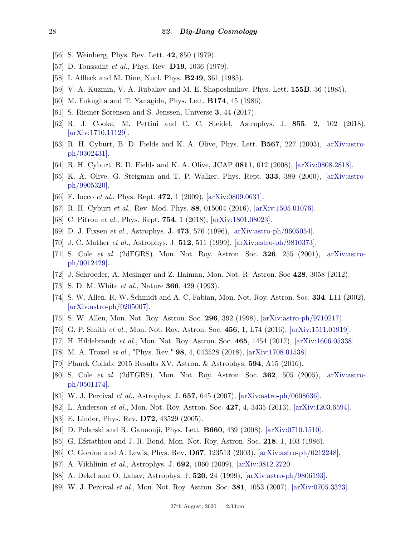- <span id="page-27-0"></span>[56] S. Weinberg, Phys. Rev. Lett. **42**, 850 (1979).
- <span id="page-27-1"></span>[57] D. Toussaint *et al.*, Phys. Rev. **D19**, 1036 (1979).
- <span id="page-27-2"></span>[58] I. Affleck and M. Dine, Nucl. Phys. **B249**, 361 (1985).
- <span id="page-27-3"></span>[59] V. A. Kuzmin, V. A. Rubakov and M. E. Shaposhnikov, Phys. Lett. **155B**, 36 (1985).
- <span id="page-27-4"></span>[60] M. Fukugita and T. Yanagida, Phys. Lett. **B174**, 45 (1986).
- <span id="page-27-6"></span><span id="page-27-5"></span>[61] S. Riemer-Sorensen and S. Jenssen, Universe **3**, 44 (2017).
- [62] R. J. Cooke, M. Pettini and C. C. Steidel, Astrophys. J. **855**, 2, 102 (2018), [\[arXiv:1710.11129\].](http://arxiv.org/abs/1710.11129)
- <span id="page-27-7"></span>[63] R. H. Cyburt, B. D. Fields and K. A. Olive, Phys. Lett. **B567**, 227 (2003), [\[arXiv:astro](http://arxiv.org/abs/astro-ph/0302431)[ph/0302431\].](http://arxiv.org/abs/astro-ph/0302431)
- <span id="page-27-8"></span>[64] R. H. Cyburt, B. D. Fields and K. A. Olive, JCAP **0811**, 012 (2008), [\[arXiv:0808.2818\].](http://arxiv.org/abs/0808.2818)
- <span id="page-27-9"></span>[65] K. A. Olive, G. Steigman and T. P. Walker, Phys. Rept. **333**, 389 (2000), [\[arXiv:astro](http://arxiv.org/abs/astro-ph/9905320)[ph/9905320\].](http://arxiv.org/abs/astro-ph/9905320)
- [66] F. Iocco *et al.*, Phys. Rept. **472**, 1 (2009), [\[arXiv:0809.0631\].](http://arxiv.org/abs/0809.0631)
- [67] R. H. Cyburt *et al.*, Rev. Mod. Phys. **88**, 015004 (2016), [\[arXiv:1505.01076\].](http://arxiv.org/abs/1505.01076)
- <span id="page-27-10"></span>[68] C. Pitrou *et al.*, Phys. Rept. **754**, 1 (2018), [\[arXiv:1801.08023\].](http://arxiv.org/abs/1801.08023)
- <span id="page-27-11"></span>[69] D. J. Fixsen *et al.*, Astrophys. J. **473**, 576 (1996), [\[arXiv:astro-ph/9605054\].](http://arxiv.org/abs/astro-ph/9605054)
- <span id="page-27-12"></span>[70] J. C. Mather *et al.*, Astrophys. J. **512**, 511 (1999), [\[arXiv:astro-ph/9810373\].](http://arxiv.org/abs/astro-ph/9810373)
- <span id="page-27-13"></span>[71] S. Cole *et al.* (2dFGRS), Mon. Not. Roy. Astron. Soc. **326**, 255 (2001), [\[arXiv:astro](http://arxiv.org/abs/astro-ph/0012429)[ph/0012429\].](http://arxiv.org/abs/astro-ph/0012429)
- <span id="page-27-14"></span>[72] J. Schroeder, A. Mesinger and Z. Haiman, Mon. Not. R. Astron. Soc **428**, 3058 (2012).
- <span id="page-27-15"></span>[73] S. D. M. White *et al.*, Nature **366**, 429 (1993).
- <span id="page-27-16"></span>[74] S. W. Allen, R. W. Schmidt and A. C. Fabian, Mon. Not. Roy. Astron. Soc. **334**, L11 (2002), [\[arXiv:astro-ph/0205007\].](http://arxiv.org/abs/astro-ph/0205007)
- <span id="page-27-17"></span>[75] S. W. Allen, Mon. Not. Roy. Astron. Soc. **296**, 392 (1998), [\[arXiv:astro-ph/9710217\].](http://arxiv.org/abs/astro-ph/9710217)
- <span id="page-27-18"></span>[76] G. P. Smith *et al.*, Mon. Not. Roy. Astron. Soc. **456**, 1, L74 (2016), [\[arXiv:1511.01919\].](http://arxiv.org/abs/1511.01919)
- <span id="page-27-19"></span>[77] H. Hildebrandt *et al.*, Mon. Not. Roy. Astron. Soc. **465**, 1454 (2017), [\[arXiv:1606.05338\].](http://arxiv.org/abs/1606.05338)
- <span id="page-27-20"></span>[78] M. A. Troxel *et al.*, "Phys. Rev." **98**, 4, 043528 (2018), [\[arXiv:1708.01538\].](http://arxiv.org/abs/1708.01538)
- <span id="page-27-22"></span><span id="page-27-21"></span>[79] Planck Collab. 2015 Results XV, Astron. & Astrophys. **594**, A15 (2016).
- [80] S. Cole *et al.* (2dFGRS), Mon. Not. Roy. Astron. Soc. **362**, 505 (2005), [\[arXiv:astro](http://arxiv.org/abs/astro-ph/0501174)[ph/0501174\].](http://arxiv.org/abs/astro-ph/0501174)
- [81] W. J. Percival *et al.*, Astrophys. J. **657**, 645 (2007), [\[arXiv:astro-ph/0608636\].](http://arxiv.org/abs/astro-ph/0608636)
- <span id="page-27-23"></span>[82] L. Anderson *et al.*, Mon. Not. Roy. Astron. Soc. **427**, 4, 3435 (2013), [\[arXiv:1203.6594\].](http://arxiv.org/abs/1203.6594)
- <span id="page-27-24"></span>[83] E. Linder, Phys. Rev. **D72**, 43529 (2005).
- <span id="page-27-25"></span>[84] D. Polarski and R. Gannouji, Phys. Lett. **B660**, 439 (2008), [\[arXiv:0710.1510\].](http://arxiv.org/abs/0710.1510)
- <span id="page-27-26"></span>[85] G. Efstathiou and J. R. Bond, Mon. Not. Roy. Astron. Soc. **218**, 1, 103 (1986).
- <span id="page-27-27"></span>[86] C. Gordon and A. Lewis, Phys. Rev. **D67**, 123513 (2003), [\[arXiv:astro-ph/0212248\].](http://arxiv.org/abs/astro-ph/0212248)
- <span id="page-27-28"></span>[87] A. Vikhlinin *et al.*, Astrophys. J. **692**, 1060 (2009), [\[arXiv:0812.2720\].](http://arxiv.org/abs/0812.2720)
- <span id="page-27-30"></span><span id="page-27-29"></span>[88] A. Dekel and O. Lahav, Astrophys. J. **520**, 24 (1999), [\[arXiv:astro-ph/9806193\].](http://arxiv.org/abs/astro-ph/9806193)
- [89] W. J. Percival *et al.*, Mon. Not. Roy. Astron. Soc. **381**, 1053 (2007), [\[arXiv:0705.3323\].](http://arxiv.org/abs/0705.3323)